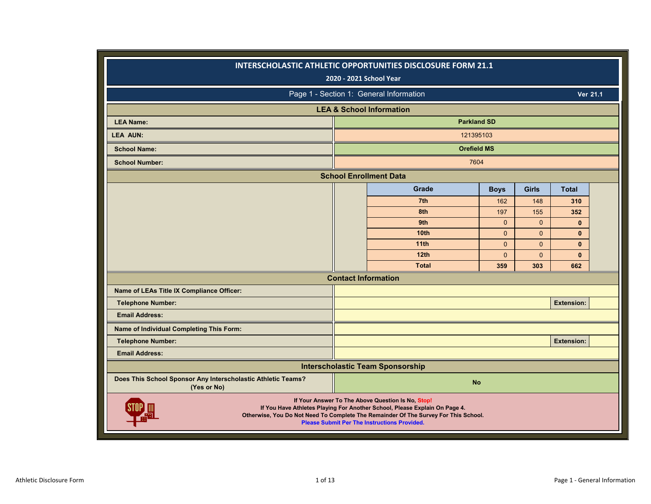|                                                                             | INTERSCHOLASTIC ATHLETIC OPPORTUNITIES DISCLOSURE FORM 21.1<br>2020 - 2021 School Year                                                                                                                                                                                        |              |              |                   |          |
|-----------------------------------------------------------------------------|-------------------------------------------------------------------------------------------------------------------------------------------------------------------------------------------------------------------------------------------------------------------------------|--------------|--------------|-------------------|----------|
|                                                                             | Page 1 - Section 1: General Information                                                                                                                                                                                                                                       |              |              |                   | Ver 21.1 |
|                                                                             | <b>LEA &amp; School Information</b>                                                                                                                                                                                                                                           |              |              |                   |          |
| <b>LEA Name:</b>                                                            | <b>Parkland SD</b>                                                                                                                                                                                                                                                            |              |              |                   |          |
| <b>LEA AUN:</b>                                                             | 121395103                                                                                                                                                                                                                                                                     |              |              |                   |          |
| <b>School Name:</b>                                                         | <b>Orefield MS</b>                                                                                                                                                                                                                                                            |              |              |                   |          |
| <b>School Number:</b>                                                       | 7604                                                                                                                                                                                                                                                                          |              |              |                   |          |
|                                                                             | <b>School Enrollment Data</b>                                                                                                                                                                                                                                                 |              |              |                   |          |
|                                                                             | <b>Grade</b>                                                                                                                                                                                                                                                                  | <b>Boys</b>  | <b>Girls</b> | <b>Total</b>      |          |
|                                                                             | 7th                                                                                                                                                                                                                                                                           | 162          | 148          | 310               |          |
|                                                                             | 8th                                                                                                                                                                                                                                                                           | 197          | 155          | 352               |          |
|                                                                             | 9th                                                                                                                                                                                                                                                                           | $\Omega$     | $\mathbf{0}$ | $\mathbf{0}$      |          |
|                                                                             | 10 <sub>th</sub>                                                                                                                                                                                                                                                              | $\Omega$     | $\mathbf{0}$ | $\mathbf{0}$      |          |
|                                                                             | 11 <sub>th</sub>                                                                                                                                                                                                                                                              | $\Omega$     | $\Omega$     | $\mathbf{0}$      |          |
|                                                                             | 12th                                                                                                                                                                                                                                                                          | $\mathbf{0}$ | $\Omega$     | $\mathbf{0}$      |          |
|                                                                             | <b>Total</b>                                                                                                                                                                                                                                                                  | 359          | 303          | 662               |          |
|                                                                             | <b>Contact Information</b>                                                                                                                                                                                                                                                    |              |              |                   |          |
| Name of LEAs Title IX Compliance Officer:                                   |                                                                                                                                                                                                                                                                               |              |              |                   |          |
| <b>Telephone Number:</b>                                                    |                                                                                                                                                                                                                                                                               |              |              | <b>Extension:</b> |          |
| <b>Email Address:</b>                                                       |                                                                                                                                                                                                                                                                               |              |              |                   |          |
| Name of Individual Completing This Form:                                    |                                                                                                                                                                                                                                                                               |              |              |                   |          |
| <b>Telephone Number:</b>                                                    |                                                                                                                                                                                                                                                                               |              |              | <b>Extension:</b> |          |
| <b>Email Address:</b>                                                       |                                                                                                                                                                                                                                                                               |              |              |                   |          |
|                                                                             | <b>Interscholastic Team Sponsorship</b>                                                                                                                                                                                                                                       |              |              |                   |          |
| Does This School Sponsor Any Interscholastic Athletic Teams?<br>(Yes or No) | <b>No</b>                                                                                                                                                                                                                                                                     |              |              |                   |          |
|                                                                             | If Your Answer To The Above Question Is No, Stop!<br>If You Have Athletes Playing For Another School, Please Explain On Page 4.<br>Otherwise, You Do Not Need To Complete The Remainder Of The Survey For This School.<br><b>Please Submit Per The Instructions Provided.</b> |              |              |                   |          |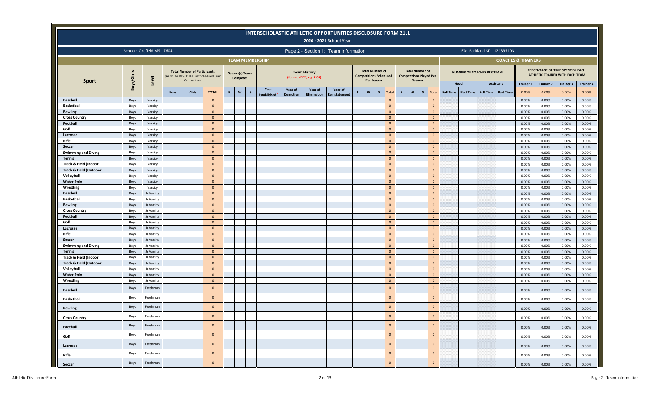|                                    |              |                            |             |                                                     |                                           |   |                                   | INTERSCHOLASTIC ATHLETIC OPPORTUNITIES DISCLOSURE FORM 21.1 |                 |                                                   | 2020 - 2021 School Year              |    |                                                                       |                              |   |                                                                    |                      |                          |                  |                                      |                  |                               |                           |                                                                     |                           |
|------------------------------------|--------------|----------------------------|-------------|-----------------------------------------------------|-------------------------------------------|---|-----------------------------------|-------------------------------------------------------------|-----------------|---------------------------------------------------|--------------------------------------|----|-----------------------------------------------------------------------|------------------------------|---|--------------------------------------------------------------------|----------------------|--------------------------|------------------|--------------------------------------|------------------|-------------------------------|---------------------------|---------------------------------------------------------------------|---------------------------|
|                                    |              | School: Orefield MS - 7604 |             |                                                     |                                           |   |                                   |                                                             |                 |                                                   | Page 2 - Section 1: Team Information |    |                                                                       |                              |   |                                                                    |                      |                          |                  | LEA: Parkland SD - 121395103         |                  |                               |                           |                                                                     |                           |
|                                    |              |                            |             |                                                     |                                           |   |                                   | <b>TEAM MEMBERSHIP</b>                                      |                 |                                                   |                                      |    |                                                                       |                              |   |                                                                    |                      |                          |                  |                                      |                  | <b>COACHES &amp; TRAINERS</b> |                           |                                                                     |                           |
| <b>Sport</b>                       | Boys/Girls   | Level                      |             | <b>Total Number of Participants</b><br>Competition) | As Of The Day Of The First Scheduled Team |   | Season(s) Team<br><b>Competes</b> |                                                             |                 | <b>Team History</b><br>(Format = YYYY, e.g. 1955) |                                      |    | <b>Total Number of</b><br><b>Competitions Scheduled</b><br>Per Season |                              |   | <b>Total Number of</b><br><b>Competitions Played Per</b><br>Season |                      |                          |                  | <b>NUMBER OF COACHES PER TEAM</b>    |                  |                               |                           | PERCENTAGE OF TIME SPENT BY EACH<br>ATHLETIC TRAINER WITH EACH TEAM |                           |
|                                    |              |                            | <b>Boys</b> | Girls                                               | <b>TOTAL</b>                              | F | $\mathsf{w}$<br>s                 | Year                                                        | Year of         | Year of                                           | Year of                              | F. | $\mathsf{w}$<br>$\mathsf{s}$                                          | Total                        | F | $\mathsf{w}$<br>$\mathsf{s}$                                       | <b>Total</b>         | Head<br><b>Full Time</b> | <b>Part Time</b> | <b>Assistant</b><br><b>Full Time</b> | <b>Part Time</b> | <b>Trainer 1</b><br>0.00%     | <b>Trainer 2</b><br>0.00% | <b>Trainer 3</b><br>0.00%                                           | <b>Trainer 4</b><br>0.00% |
| <b>Baseball</b>                    | Boys         | Varsity                    |             |                                                     | $\Omega$                                  |   |                                   | <b>Established</b>                                          | <b>Demotion</b> | Elimination                                       | einstatemen                          |    |                                                                       | $\mathbf{0}$                 |   |                                                                    | $\Omega$             |                          |                  |                                      |                  | 0.00%                         | 0.00%                     | 0.00%                                                               | 0.00%                     |
| <b>Basketball</b>                  | Boys         | Varsity                    |             |                                                     | $\mathbf{0}$                              |   |                                   |                                                             |                 |                                                   |                                      |    |                                                                       | $\mathbf{0}$                 |   |                                                                    | $\mathbf{0}$         |                          |                  |                                      |                  | 0.00%                         | 0.00%                     | 0.00%                                                               | 0.00%                     |
| <b>Bowling</b>                     | Boys         | Varsity                    |             |                                                     | $\mathbf{0}$                              |   |                                   |                                                             |                 |                                                   |                                      |    |                                                                       | $\mathbf{0}$                 |   |                                                                    | $\Omega$             |                          |                  |                                      |                  | 0.00%                         | 0.00%                     | 0.00%                                                               | 0.00%                     |
| <b>Cross Country</b>               | Boys         | Varsity                    |             |                                                     | $\overline{0}$                            |   |                                   |                                                             |                 |                                                   |                                      |    |                                                                       | $\Omega$                     |   |                                                                    | $\Omega$             |                          |                  |                                      |                  | 0.00%                         | 0.00%                     | 0.00%                                                               | 0.00%                     |
| Football                           | Boys         | Varsity                    |             |                                                     | $\mathbf{0}$                              |   |                                   |                                                             |                 |                                                   |                                      |    |                                                                       | $\mathbf{0}$                 |   |                                                                    | $\mathbf{0}$         |                          |                  |                                      |                  | 0.00%                         | 0.00%                     | 0.00%                                                               | 0.00%                     |
| Golf                               | Boys         | Varsity                    |             |                                                     | $\mathbf{0}$                              |   |                                   |                                                             |                 |                                                   |                                      |    |                                                                       | $\Omega$                     |   |                                                                    | $\Omega$             |                          |                  |                                      |                  | 0.00%                         | 0.00%                     | 0.00%                                                               | 0.00%                     |
| Lacrosse                           | Boys         | Varsity                    |             |                                                     | $\mathbf{0}$                              |   |                                   |                                                             |                 |                                                   |                                      |    |                                                                       | $\mathbf{0}$                 |   |                                                                    | $\Omega$             |                          |                  |                                      |                  | 0.00%                         | 0.00%                     | 0.00%                                                               | 0.00%                     |
| Rifle                              | Boys         | Varsity                    |             |                                                     | $\mathbf{0}$                              |   |                                   |                                                             |                 |                                                   |                                      |    |                                                                       | $\mathbf{0}$                 |   |                                                                    | $\Omega$             |                          |                  |                                      |                  | 0.00%                         | 0.00%                     | 0.00%                                                               | 0.00%                     |
| Soccer                             | Boys         | Varsity                    |             |                                                     | $\overline{0}$                            |   |                                   |                                                             |                 |                                                   |                                      |    |                                                                       | $\mathbf{0}$                 |   |                                                                    | $\Omega$             |                          |                  |                                      |                  | 0.00%                         | 0.00%                     | 0.00%                                                               | 0.00%                     |
| <b>Swimming and Diving</b>         | Boys         | Varsity                    |             |                                                     | $\mathbf{0}$                              |   |                                   |                                                             |                 |                                                   |                                      |    |                                                                       | $\mathbf{0}$                 |   |                                                                    | $\Omega$             |                          |                  |                                      |                  | 0.00%                         | 0.00%                     | 0.00%                                                               | 0.00%                     |
| <b>Tennis</b>                      | Boys         | Varsity                    |             |                                                     | $\mathbf{0}$                              |   |                                   |                                                             |                 |                                                   |                                      |    |                                                                       | $\mathbf{0}$                 |   |                                                                    | $\Omega$             |                          |                  |                                      |                  | 0.00%                         | 0.00%                     | 0.00%                                                               | 0.00%                     |
| Track & Field (Indoor)             | Boys         | Varsity                    |             |                                                     | $\mathbf{0}$                              |   |                                   |                                                             |                 |                                                   |                                      |    |                                                                       | $\Omega$                     |   |                                                                    | $\Omega$             |                          |                  |                                      |                  | 0.00%                         | 0.00%                     | 0.00%                                                               | 0.00%                     |
| <b>Track &amp; Field (Outdoor)</b> | Boys         | Varsity                    |             |                                                     | $\mathbf{0}$                              |   |                                   |                                                             |                 |                                                   |                                      |    |                                                                       | $\mathbf{0}$                 |   |                                                                    | $\Omega$             |                          |                  |                                      |                  | 0.00%                         | 0.00%                     | 0.00%                                                               | 0.00%                     |
| Volleyball                         | Boys         | Varsity                    |             |                                                     | $\mathbf{0}$                              |   |                                   |                                                             |                 |                                                   |                                      |    |                                                                       | $\mathbf{0}$                 |   |                                                                    | $\Omega$             |                          |                  |                                      |                  | 0.00%                         | 0.00%                     | 0.00%                                                               | 0.00%                     |
| <b>Water Polo</b>                  | Boys         | Varsity                    |             |                                                     | $\overline{0}$                            |   |                                   |                                                             |                 |                                                   |                                      |    |                                                                       | $\mathbf{0}$                 |   |                                                                    | $\Omega$             |                          |                  |                                      |                  | 0.00%                         | 0.00%                     | 0.00%                                                               | 0.00%                     |
| Wrestling                          | Boys         | Varsity                    |             |                                                     | $\mathbf{0}$                              |   |                                   |                                                             |                 |                                                   |                                      |    |                                                                       | $\Omega$                     |   |                                                                    | $\Omega$             |                          |                  |                                      |                  | 0.00%                         | 0.00%                     | 0.00%                                                               | 0.00%                     |
| <b>Baseball</b>                    | Boys         | Jr Varsity                 |             |                                                     | $\mathbf{0}$                              |   |                                   |                                                             |                 |                                                   |                                      |    |                                                                       | $\mathbf{0}$                 |   |                                                                    | $\mathbf{0}$         |                          |                  |                                      |                  | 0.00%                         | 0.00%                     | 0.00%                                                               | 0.00%                     |
| <b>Basketball</b>                  | Boys         | Jr Varsity                 |             |                                                     | $\mathbf{0}$                              |   |                                   |                                                             |                 |                                                   |                                      |    |                                                                       | $\Omega$                     |   |                                                                    | $\Omega$             |                          |                  |                                      |                  | 0.00%                         | 0.00%                     | 0.00%                                                               | 0.00%                     |
| <b>Bowling</b>                     | Boys         | Jr Varsity                 |             |                                                     | $\mathbf{0}$<br>$\mathbf{0}$              |   |                                   |                                                             |                 |                                                   |                                      |    |                                                                       | $\mathbf{0}$<br>$\mathbf{0}$ |   |                                                                    | $\Omega$<br>$\Omega$ |                          |                  |                                      |                  | 0.00%                         | 0.00%                     | 0.00%                                                               | 0.00%                     |
| <b>Cross Country</b><br>Football   | Boys<br>Boys | Jr Varsity<br>Jr Varsity   |             |                                                     | $\overline{0}$                            |   |                                   |                                                             |                 |                                                   |                                      |    |                                                                       | $\mathbf{0}$                 |   |                                                                    | $\Omega$             |                          |                  |                                      |                  | 0.00%                         | 0.00%                     | 0.00%<br>0.00%                                                      | 0.00%<br>0.00%            |
| Golf                               | Boys         | Jr Varsity                 |             |                                                     | $\mathbf{0}$                              |   |                                   |                                                             |                 |                                                   |                                      |    |                                                                       | $\mathbf{0}$                 |   |                                                                    | $\Omega$             |                          |                  |                                      |                  | 0.00%<br>0.00%                | 0.00%<br>0.00%            | 0.00%                                                               | 0.00%                     |
| Lacrosse                           | Boys         | Jr Varsity                 |             |                                                     | $\mathbf{0}$                              |   |                                   |                                                             |                 |                                                   |                                      |    |                                                                       | $\mathbf{0}$                 |   |                                                                    | $\Omega$             |                          |                  |                                      |                  | 0.00%                         | 0.00%                     | 0.00%                                                               | 0.00%                     |
| Rifle                              | Boys         | Jr Varsity                 |             |                                                     | $\overline{0}$                            |   |                                   |                                                             |                 |                                                   |                                      |    |                                                                       | $\Omega$                     |   |                                                                    | $\Omega$             |                          |                  |                                      |                  | 0.00%                         | 0.00%                     | 0.00%                                                               | 0.00%                     |
| Soccer                             | Boys         | Jr Varsity                 |             |                                                     | $\mathbf{0}$                              |   |                                   |                                                             |                 |                                                   |                                      |    |                                                                       | $\mathbf{0}$                 |   |                                                                    | $\Omega$             |                          |                  |                                      |                  | 0.00%                         | 0.00%                     | 0.00%                                                               | 0.00%                     |
| <b>Swimming and Diving</b>         | Boys         | Jr Varsity                 |             |                                                     | $\mathbf{0}$                              |   |                                   |                                                             |                 |                                                   |                                      |    |                                                                       | $\mathbf{0}$                 |   |                                                                    | $\Omega$             |                          |                  |                                      |                  | 0.00%                         | 0.00%                     | 0.00%                                                               | 0.00%                     |
| <b>Tennis</b>                      | Boys         | Jr Varsity                 |             |                                                     | $\overline{0}$                            |   |                                   |                                                             |                 |                                                   |                                      |    |                                                                       | $\mathbf{0}$                 |   |                                                                    | $\Omega$             |                          |                  |                                      |                  | 0.00%                         | 0.00%                     | 0.00%                                                               | 0.00%                     |
| Track & Field (Indoor)             | Boys         | Jr Varsity                 |             |                                                     | $\mathbf{0}$                              |   |                                   |                                                             |                 |                                                   |                                      |    |                                                                       | $\mathbf{0}$                 |   |                                                                    | $\Omega$             |                          |                  |                                      |                  | 0.00%                         | 0.00%                     | 0.00%                                                               | 0.00%                     |
| <b>Track &amp; Field (Outdoor)</b> | Boys         | Jr Varsity                 |             |                                                     | $\mathbf{0}$                              |   |                                   |                                                             |                 |                                                   |                                      |    |                                                                       | $\mathbf{0}$                 |   |                                                                    | $\Omega$             |                          |                  |                                      |                  | 0.00%                         | 0.00%                     | 0.00%                                                               | 0.00%                     |
| Volleyball                         | Boys         | Jr Varsity                 |             |                                                     | $\mathbf{0}$                              |   |                                   |                                                             |                 |                                                   |                                      |    |                                                                       | $\Omega$                     |   |                                                                    | $\Omega$             |                          |                  |                                      |                  | 0.00%                         | 0.00%                     | 0.00%                                                               | 0.00%                     |
| <b>Water Polo</b>                  | Boys         | Jr Varsity                 |             |                                                     | $\mathbf{0}$                              |   |                                   |                                                             |                 |                                                   |                                      |    |                                                                       | $\mathbf{0}$                 |   |                                                                    | $\mathbf{0}$         |                          |                  |                                      |                  | 0.00%                         | 0.00%                     | 0.00%                                                               | 0.00%                     |
| Wrestling                          | Boys         | Jr Varsity                 |             |                                                     | $\overline{0}$                            |   |                                   |                                                             |                 |                                                   |                                      |    |                                                                       | $\mathbf{0}$                 |   |                                                                    | $\Omega$             |                          |                  |                                      |                  | 0.00%                         | 0.00%                     | 0.00%                                                               | 0.00%                     |
| <b>Baseball</b>                    | Boys         | Freshman                   |             |                                                     | $\mathbf{0}$                              |   |                                   |                                                             |                 |                                                   |                                      |    |                                                                       | $\mathbf{0}$                 |   |                                                                    | $\mathbf{0}$         |                          |                  |                                      |                  | 0.00%                         | 0.00%                     | 0.00%                                                               | 0.00%                     |
| <b>Basketball</b>                  | Boys         | Freshman                   |             |                                                     | $\mathbf{0}$                              |   |                                   |                                                             |                 |                                                   |                                      |    |                                                                       | $\mathbf{0}$                 |   |                                                                    | $\mathbf{0}$         |                          |                  |                                      |                  | 0.00%                         | 0.00%                     | 0.00%                                                               | 0.00%                     |
| <b>Bowling</b>                     | Boys         | Freshman                   |             |                                                     | $\Omega$                                  |   |                                   |                                                             |                 |                                                   |                                      |    |                                                                       | $\mathbf{0}$                 |   |                                                                    | $\mathbf{0}$         |                          |                  |                                      |                  | 0.00%                         | 0.00%                     | 0.00%                                                               | 0.00%                     |
| <b>Cross Country</b>               | Boys         | Freshman                   |             |                                                     | $\circ$                                   |   |                                   |                                                             |                 |                                                   |                                      |    |                                                                       | $\mathbf{0}$                 |   |                                                                    | $\mathbf{0}$         |                          |                  |                                      |                  | 0.00%                         | 0.00%                     | 0.00%                                                               | 0.00%                     |
| Football                           | Boys         | Freshman                   |             |                                                     | $\mathbf{0}$                              |   |                                   |                                                             |                 |                                                   |                                      |    |                                                                       | $\mathbf{0}$                 |   |                                                                    | $\circ$              |                          |                  |                                      |                  | 0.00%                         | 0.00%                     | 0.00%                                                               | 0.00%                     |
| Golf                               | Boys         | Freshman                   |             |                                                     | $\mathbf{0}$                              |   |                                   |                                                             |                 |                                                   |                                      |    |                                                                       | $\mathbf{0}$                 |   |                                                                    | $\mathbf{0}$         |                          |                  |                                      |                  | 0.00%                         | 0.00%                     | 0.00%                                                               | 0.00%                     |
| Lacrosse                           | Boys         | Freshman                   |             |                                                     | $\mathbf{0}$                              |   |                                   |                                                             |                 |                                                   |                                      |    |                                                                       | $\mathbf{0}$                 |   |                                                                    | $\circ$              |                          |                  |                                      |                  | 0.00%                         | 0.00%                     | 0.00%                                                               | 0.00%                     |
| Rifle                              | Boys         | Freshman                   |             |                                                     | $\mathbf{0}$                              |   |                                   |                                                             |                 |                                                   |                                      |    |                                                                       | $\mathbf 0$                  |   |                                                                    | $\mathbf 0$          |                          |                  |                                      |                  | 0.00%                         | 0.00%                     | 0.00%                                                               | 0.00%                     |
| Soccer                             | Boys         | Freshman                   |             |                                                     | $\mathbf{0}$                              |   |                                   |                                                             |                 |                                                   |                                      |    |                                                                       | $\mathbf{0}$                 |   |                                                                    | $\mathbf 0$          |                          |                  |                                      |                  | 0.00%                         | 0.00%                     | 0.00%                                                               | 0.00%                     |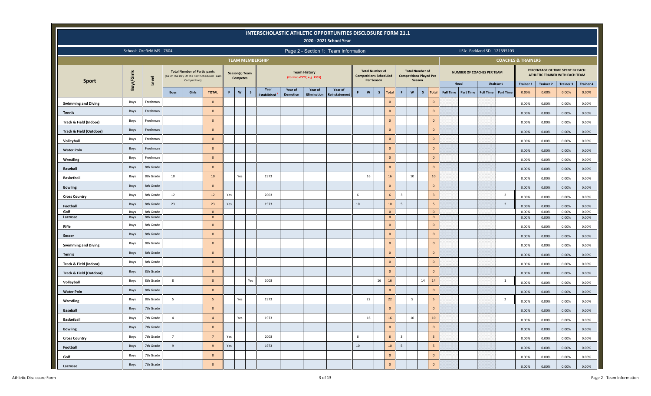|                                    |             |                            |                 |                                                                                                   |                 |     |                                   |              |                        |                 |                                                   | INTERSCHOLASTIC ATHLETIC OPPORTUNITIES DISCLOSURE FORM 21.1<br>2020 - 2021 School Year |        |                   |                                                         |                     |                         |                                                                    |                                |                  |                  |                                      |                               |                  |                                                                     |                  |
|------------------------------------|-------------|----------------------------|-----------------|---------------------------------------------------------------------------------------------------|-----------------|-----|-----------------------------------|--------------|------------------------|-----------------|---------------------------------------------------|----------------------------------------------------------------------------------------|--------|-------------------|---------------------------------------------------------|---------------------|-------------------------|--------------------------------------------------------------------|--------------------------------|------------------|------------------|--------------------------------------|-------------------------------|------------------|---------------------------------------------------------------------|------------------|
|                                    |             | School: Orefield MS - 7604 |                 |                                                                                                   |                 |     |                                   |              |                        |                 |                                                   | Page 2 - Section 1: Team Information                                                   |        |                   |                                                         |                     |                         |                                                                    |                                |                  |                  | LEA: Parkland SD - 121395103         |                               |                  |                                                                     |                  |
|                                    |             |                            |                 |                                                                                                   |                 |     |                                   |              | <b>TEAM MEMBERSHIP</b> |                 |                                                   |                                                                                        |        |                   |                                                         |                     |                         |                                                                    |                                |                  |                  |                                      | <b>COACHES &amp; TRAINERS</b> |                  |                                                                     |                  |
| <b>Sport</b>                       | Boys/Girls  | Level                      |                 | <b>Total Number of Participants</b><br>(As Of The Day Of The First Scheduled Team<br>Competition) |                 |     | Season(s) Team<br><b>Competes</b> |              |                        |                 | <b>Team History</b><br>(Format = YYYY, e.g. 1955) |                                                                                        |        | <b>Per Season</b> | <b>Total Number of</b><br><b>Competitions Scheduled</b> |                     |                         | <b>Total Number of</b><br><b>Competitions Played Per</b><br>Season |                                |                  |                  | NUMBER OF COACHES PER TEAM           |                               |                  | PERCENTAGE OF TIME SPENT BY EACH<br>ATHLETIC TRAINER WITH EACH TEAM |                  |
|                                    |             |                            |                 |                                                                                                   |                 |     |                                   |              | Year                   | Year of         | Year of                                           | Year of                                                                                |        |                   |                                                         |                     |                         |                                                                    |                                |                  | Head             | <b>Assistant</b>                     | <b>Trainer 1</b>              | <b>Trainer 2</b> | <b>Trainer 3</b>                                                    | <b>Trainer 4</b> |
|                                    |             |                            | <b>Boys</b>     | Girls                                                                                             | <b>TOTAL</b>    | F.  | $\mathbf{w}$                      | $\mathsf{s}$ | <b>Established</b>     | <b>Demotion</b> | <b>Elimination</b>                                | <b>Reinstatement</b>                                                                   | F.     | W                 | $\mathsf{s}$                                            | <b>Total</b>        | F                       | $\boldsymbol{\mathsf{w}}$<br>$\mathsf{s}$                          | <b>Total</b>                   | <b>Full Time</b> | <b>Part Time</b> | <b>Part Time</b><br><b>Full Time</b> | 0.00%                         | 0.00%            | 0.00%                                                               | 0.00%            |
| <b>Swimming and Diving</b>         | Boys        | Freshman                   |                 |                                                                                                   | $\mathbf{0}$    |     |                                   |              |                        |                 |                                                   |                                                                                        |        |                   |                                                         | $\mathbf{0}$        |                         |                                                                    | $\mathbf{0}$                   |                  |                  |                                      | 0.00%                         | 0.00%            | 0.00%                                                               | 0.00%            |
| <b>Tennis</b>                      | Boys        | Freshman                   |                 |                                                                                                   | $\mathbf{0}$    |     |                                   |              |                        |                 |                                                   |                                                                                        |        |                   |                                                         | $\mathbf 0$         |                         |                                                                    | $\mathbf{0}$                   |                  |                  |                                      | 0.00%                         | $0.00\%$         | 0.00%                                                               | 0.00%            |
| Track & Field (Indoor)             | Boys        | Freshman                   |                 |                                                                                                   | $\Omega$        |     |                                   |              |                        |                 |                                                   |                                                                                        |        |                   |                                                         | $\mathsf{O}\xspace$ |                         |                                                                    | $\mathbf{0}$                   |                  |                  |                                      | 0.00%                         | 0.00%            | 0.00%                                                               | 0.00%            |
| <b>Track &amp; Field (Outdoor)</b> | Boys        | Freshman                   |                 |                                                                                                   | $\mathbf{0}$    |     |                                   |              |                        |                 |                                                   |                                                                                        |        |                   |                                                         | $\mathbf 0$         |                         |                                                                    | $\mathbf{0}$                   |                  |                  |                                      | 0.00%                         | 0.00%            | 0.00%                                                               | 0.00%            |
| Volleyball                         | Boys        | Freshman                   |                 |                                                                                                   | $\Omega$        |     |                                   |              |                        |                 |                                                   |                                                                                        |        |                   |                                                         | $\mathsf{O}\xspace$ |                         |                                                                    | $\mathbf{0}$                   |                  |                  |                                      | 0.00%                         | 0.00%            | 0.00%                                                               | 0.00%            |
| <b>Water Polo</b>                  | Boys        | Freshman                   |                 |                                                                                                   | $\overline{0}$  |     |                                   |              |                        |                 |                                                   |                                                                                        |        |                   |                                                         | $\mathbf{0}$        |                         |                                                                    | $\mathbf{0}$                   |                  |                  |                                      | 0.00%                         | 0.00%            | 0.00%                                                               | 0.00%            |
| Wrestling                          | Boys        | Freshman                   |                 |                                                                                                   | $\mathbf{0}$    |     |                                   |              |                        |                 |                                                   |                                                                                        |        |                   |                                                         | $\mathsf{O}\xspace$ |                         |                                                                    | $\mathbf{0}$                   |                  |                  |                                      | 0.00%                         | 0.00%            | 0.00%                                                               | 0.00%            |
| <b>Baseball</b>                    | Boys        | 8th Grade                  |                 |                                                                                                   | $\overline{0}$  |     |                                   |              |                        |                 |                                                   |                                                                                        |        |                   |                                                         | $\mathbf 0$         |                         |                                                                    | $\mathbf{0}$                   |                  |                  |                                      | 0.00%                         | 0.00%            | 0.00%                                                               | 0.00%            |
| <b>Basketball</b>                  | Boys        | 8th Grade                  | 10              |                                                                                                   | 10              |     | Yes                               |              | 1973                   |                 |                                                   |                                                                                        |        | 16                |                                                         | 16                  |                         | 10                                                                 | $10$                           |                  |                  |                                      | 0.00%                         | 0.00%            | 0.00%                                                               | 0.00%            |
| <b>Bowling</b>                     | Boys        | 8th Grade                  |                 |                                                                                                   | $\Omega$        |     |                                   |              |                        |                 |                                                   |                                                                                        |        |                   |                                                         | $\mathsf{O}\xspace$ |                         |                                                                    | $\mathbf{0}$                   |                  |                  |                                      | 0.00%                         | $0.00\%$         | 0.00%                                                               | 0.00%            |
| <b>Cross Country</b>               | Boys        | 8th Grade                  | 12              |                                                                                                   | 12              | Yes |                                   |              | 2003                   |                 |                                                   |                                                                                        | 6      |                   |                                                         | 6                   | $\overline{3}$          |                                                                    | $\overline{\mathbf{3}}$        |                  |                  | $\overline{2}$                       | 0.00%                         | 0.00%            | 0.00%                                                               | 0.00%            |
| Football                           | Boys        | 8th Grade                  | 23              |                                                                                                   | 23              | Yes |                                   |              | 1973                   |                 |                                                   |                                                                                        | $10\,$ |                   |                                                         | $10$                | 5                       |                                                                    | 5                              |                  |                  | $\overline{2}$                       | 0.00%                         | 0.00%            | 0.00%                                                               | 0.00%            |
| Golf                               | Boys        | 8th Grade                  |                 |                                                                                                   | $\overline{0}$  |     |                                   |              |                        |                 |                                                   |                                                                                        |        |                   |                                                         | $\mathbf{0}$        |                         |                                                                    | $\mathbf{0}$                   |                  |                  |                                      | 0.00%                         | 0.00%            | 0.00%                                                               | 0.00%            |
| Lacrosse                           | Boys        | 8th Grade<br>8th Grade     |                 |                                                                                                   | $\overline{0}$  |     |                                   |              |                        |                 |                                                   |                                                                                        |        |                   | $\overline{\mathbf{0}}$                                 | $\mathbf 0$         |                         |                                                                    | $\overline{0}$<br>$\mathbf{0}$ |                  |                  |                                      | 0.00%                         | 0.00%            | 0.00%                                                               | 0.00%            |
| Rifle                              | Boys        |                            |                 |                                                                                                   | $\mathbf{0}$    |     |                                   |              |                        |                 |                                                   |                                                                                        |        |                   |                                                         |                     |                         |                                                                    |                                |                  |                  |                                      | 0.00%                         | 0.00%            | 0.00%                                                               | 0.00%            |
| Soccer                             | Boys        | 8th Grade                  |                 |                                                                                                   | $\Omega$        |     |                                   |              |                        |                 |                                                   |                                                                                        |        |                   |                                                         | $\mathbf{0}$        |                         |                                                                    | $\mathbf{0}$                   |                  |                  |                                      | 0.00%                         | $0.00\%$         | 0.00%                                                               | 0.00%            |
| <b>Swimming and Diving</b>         | Boys        | 8th Grade                  |                 |                                                                                                   | $\Omega$        |     |                                   |              |                        |                 |                                                   |                                                                                        |        |                   |                                                         | $\mathbf{0}$        |                         |                                                                    | $\mathbf{0}$                   |                  |                  |                                      | 0.00%                         | 0.00%            | 0.00%                                                               | 0.00%            |
| <b>Tennis</b>                      | Boys        | 8th Grade                  |                 |                                                                                                   | $\overline{0}$  |     |                                   |              |                        |                 |                                                   |                                                                                        |        |                   |                                                         | $\mathbf 0$         |                         |                                                                    | $\mathbf{0}$                   |                  |                  |                                      | 0.00%                         | 0.00%            | 0.00%                                                               | 0.00%            |
| Track & Field (Indoor)             | Boys        | 8th Grade                  |                 |                                                                                                   | $\overline{0}$  |     |                                   |              |                        |                 |                                                   |                                                                                        |        |                   |                                                         | $\mathbf{0}$        |                         |                                                                    | $\mathbf{0}$                   |                  |                  |                                      | 0.00%                         | 0.00%            | 0.00%                                                               | 0.00%            |
| Track & Field (Outdoor)            | Boys        | 8th Grade                  |                 |                                                                                                   | $\mathbf{0}$    |     |                                   |              |                        |                 |                                                   |                                                                                        |        |                   |                                                         | $\mathbf{0}$        |                         |                                                                    | $\mathbf{0}$                   |                  |                  |                                      | 0.00%                         | 0.00%            | 0.00%                                                               | 0.00%            |
| Volleyball                         | Boys        | 8th Grade                  | 8               |                                                                                                   | 8               |     |                                   | Yes          | 2003                   |                 |                                                   |                                                                                        |        |                   | 16                                                      | 16                  |                         | 14                                                                 | 14                             |                  |                  | 1                                    | 0.00%                         | 0.00%            | 0.00%                                                               | 0.00%            |
| <b>Water Polo</b>                  | <b>Boys</b> | 8th Grade                  |                 |                                                                                                   | $\overline{0}$  |     |                                   |              |                        |                 |                                                   |                                                                                        |        |                   |                                                         | $\mathbf{0}$        |                         |                                                                    | $\mathbf{0}$                   |                  |                  |                                      | 0.00%                         | 0.00%            | 0.00%                                                               | 0.00%            |
| Wrestling                          | Boys        | 8th Grade                  | 5               |                                                                                                   | 5               |     | Yes                               |              | 1973                   |                 |                                                   |                                                                                        |        | 22                |                                                         | 22                  |                         | 5                                                                  | 5                              |                  |                  | $\overline{2}$                       | 0.00%                         | 0.00%            | 0.00%                                                               | 0.00%            |
| <b>Baseball</b>                    | Boys        | 7th Grade                  |                 |                                                                                                   | $\overline{0}$  |     |                                   |              |                        |                 |                                                   |                                                                                        |        |                   |                                                         | $\mathsf{O}\xspace$ |                         |                                                                    | $\mathbf{0}$                   |                  |                  |                                      | 0.00%                         | 0.00%            | 0.00%                                                               | 0.00%            |
| <b>Basketball</b>                  | Boys        | 7th Grade                  | $\overline{4}$  |                                                                                                   | $\overline{4}$  |     | Yes                               |              | 1973                   |                 |                                                   |                                                                                        |        | 16                |                                                         | 16                  |                         | 10                                                                 | 10                             |                  |                  |                                      | 0.00%                         | 0.00%            | 0.00%                                                               | 0.00%            |
| <b>Bowling</b>                     | Boys        | 7th Grade                  |                 |                                                                                                   | $\overline{0}$  |     |                                   |              |                        |                 |                                                   |                                                                                        |        |                   |                                                         | $\mathbf 0$         |                         |                                                                    | $\mathbf 0$                    |                  |                  |                                      | 0.00%                         | 0.00%            | 0.00%                                                               | 0.00%            |
| <b>Cross Country</b>               | Boys        | 7th Grade                  | $7\overline{ }$ |                                                                                                   | $7\overline{ }$ | Yes |                                   |              | 2003                   |                 |                                                   |                                                                                        | 6      |                   |                                                         | $6\overline{6}$     | $\overline{\mathbf{3}}$ |                                                                    | $\overline{\mathbf{3}}$        |                  |                  |                                      | 0.00%                         | 0.00%            | 0.00%                                                               | 0.00%            |
| Football                           | Boys        | 7th Grade                  | 9               |                                                                                                   | 9               | Yes |                                   |              | 1973                   |                 |                                                   |                                                                                        | $10\,$ |                   |                                                         | $10$                | 5 <sub>5</sub>          |                                                                    | $5\overline{5}$                |                  |                  |                                      | 0.00%                         | 0.00%            | 0.00%                                                               | 0.00%            |
| Golf                               | Boys        | 7th Grade                  |                 |                                                                                                   | $\mathbf{0}$    |     |                                   |              |                        |                 |                                                   |                                                                                        |        |                   |                                                         | $\mathbf 0$         |                         |                                                                    | $\overline{0}$                 |                  |                  |                                      | 0.00%                         | 0.00%            | 0.00%                                                               | 0.00%            |
| Lacrosse                           | Boys        | 7th Grade                  |                 |                                                                                                   | $\mathbf{0}$    |     |                                   |              |                        |                 |                                                   |                                                                                        |        |                   |                                                         | $\mathbf 0$         |                         |                                                                    | $\mathbf 0$                    |                  |                  |                                      | $0.00\%$                      | 0.00%            | 0.00%                                                               | 0.00%            |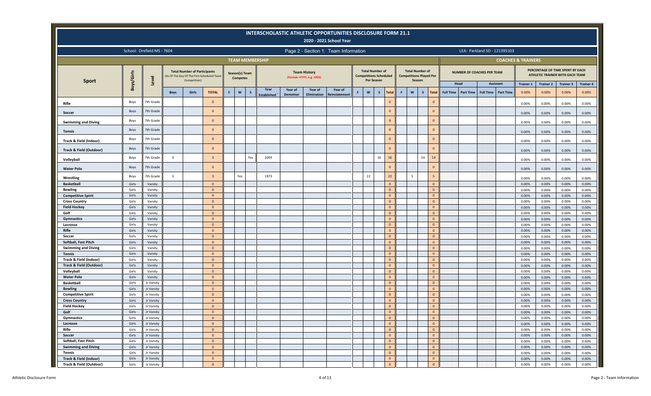|                                             |                |                            |                |                                                     |                                            |   |                                   |              |                            |                            |                                                   | INTERSCHOLASTIC ATHLETIC OPPORTUNITIES DISCLOSURE FORM 21.1<br>2020 - 2021 School Year |   |                                                                       |              |                             |   |                                                                    |                                |                       |                                      |                               |                  |                                                                     |                   |
|---------------------------------------------|----------------|----------------------------|----------------|-----------------------------------------------------|--------------------------------------------|---|-----------------------------------|--------------|----------------------------|----------------------------|---------------------------------------------------|----------------------------------------------------------------------------------------|---|-----------------------------------------------------------------------|--------------|-----------------------------|---|--------------------------------------------------------------------|--------------------------------|-----------------------|--------------------------------------|-------------------------------|------------------|---------------------------------------------------------------------|-------------------|
|                                             |                | School: Orefield MS - 7604 |                |                                                     |                                            |   |                                   |              |                            |                            |                                                   | Page 2 - Section 1: Team Information                                                   |   |                                                                       |              |                             |   |                                                                    |                                |                       | LEA: Parkland SD - 121395103         |                               |                  |                                                                     |                   |
|                                             |                |                            |                |                                                     |                                            |   |                                   |              | <b>TEAM MEMBERSHIP</b>     |                            |                                                   |                                                                                        |   |                                                                       |              |                             |   |                                                                    |                                |                       |                                      | <b>COACHES &amp; TRAINERS</b> |                  |                                                                     |                   |
|                                             | Boys/Girls     | Level                      |                | <b>Total Number of Participants</b><br>Competition) | (As Of The Day Of The First Scheduled Team |   | Season(s) Team<br><b>Competes</b> |              |                            |                            | <b>Team History</b><br>(Format = YYYY, e.g. 1955) |                                                                                        |   | <b>Total Number of</b><br><b>Competitions Scheduled</b><br>Per Season |              |                             |   | <b>Total Number of</b><br><b>Competitions Played Per</b><br>Season |                                |                       | <b>NUMBER OF COACHES PER TEAM</b>    |                               |                  | PERCENTAGE OF TIME SPENT BY EACH<br>ATHLETIC TRAINER WITH EACH TEAM |                   |
| <b>Sport</b>                                |                |                            |                |                                                     |                                            |   |                                   |              |                            |                            |                                                   |                                                                                        |   |                                                                       |              |                             |   |                                                                    |                                | Head                  | <b>Assistant</b>                     | <b>Trainer 1</b>              | <b>Trainer 2</b> | <b>Trainer 3</b>                                                    | <b>Trainer 4</b>  |
|                                             |                |                            | <b>Boys</b>    | Girls                                               | <b>TOTAL</b>                               | F | $\boldsymbol{\mathsf{w}}$         | $\mathsf{s}$ | Year<br><b>Established</b> | Year of<br><b>Demotion</b> | Year of<br><b>Elimination</b>                     | Year of<br>Reinstatement                                                               | F | W                                                                     | $\mathsf{s}$ | <b>Total</b>                | F | $\mathbf{w}$<br>s                                                  | <b>Total</b>                   | Full Time   Part Time | <b>Full Time</b><br><b>Part Time</b> | 0.00%                         | 0.00%            | 0.00%                                                               | 0.00%             |
| Rifle                                       | Boys           | 7th Grade                  |                |                                                     | $\mathbf{0}$                               |   |                                   |              |                            |                            |                                                   |                                                                                        |   |                                                                       |              | $\mathbf{0}$                |   |                                                                    | $\overline{0}$                 |                       |                                      | 0.00%                         | 0.00%            | 0.00%                                                               | 0.00%             |
| Soccer                                      | Boys           | 7th Grade                  |                |                                                     | $\Omega$                                   |   |                                   |              |                            |                            |                                                   |                                                                                        |   |                                                                       |              | $\bf 0$                     |   |                                                                    | $\overline{0}$                 |                       |                                      | 0.00%                         | 0.00%            | 0.00%                                                               | 0.00%             |
| <b>Swimming and Diving</b>                  | Boys           | 7th Grade                  |                |                                                     | $\Omega$                                   |   |                                   |              |                            |                            |                                                   |                                                                                        |   |                                                                       |              | $\mathbf{0}$                |   |                                                                    | $\mathbf{0}$                   |                       |                                      | 0.00%                         | 0.00%            | 0.00%                                                               | 0.00%             |
|                                             | Boys           | 7th Grade                  |                |                                                     | $\Omega$                                   |   |                                   |              |                            |                            |                                                   |                                                                                        |   |                                                                       |              | $\mathbf{0}$                |   |                                                                    | $\mathbf{0}$                   |                       |                                      |                               |                  |                                                                     |                   |
| <b>Tennis</b><br>Track & Field (Indoor)     | Boys           | 7th Grade                  |                |                                                     | $\Omega$                                   |   |                                   |              |                            |                            |                                                   |                                                                                        |   |                                                                       |              | $\mathbf{0}$                |   |                                                                    | $\mathbf{0}$                   |                       |                                      | 0.00%                         | 0.00%            | 0.00%                                                               | 0.00%             |
|                                             | Boys           | 7th Grade                  |                |                                                     | $\mathbf{0}$                               |   |                                   |              |                            |                            |                                                   |                                                                                        |   |                                                                       |              | $\mathbf{0}$                |   |                                                                    | $\mathbf{0}$                   |                       |                                      | 0.00%                         | 0.00%            | 0.00%                                                               | 0.00%             |
| Track & Field (Outdoor)                     | Boys           | 7th Grade                  | $\overline{3}$ |                                                     | $\overline{3}$                             |   |                                   | Yes          | 2003                       |                            |                                                   |                                                                                        |   |                                                                       | 16           | 16                          |   | 14                                                                 | 14                             |                       |                                      | 0.00%                         | 0.00%            | 0.00%                                                               | 0.00%             |
| Volleyball                                  | Boys           | 7th Grade                  |                |                                                     | $\Omega$                                   |   |                                   |              |                            |                            |                                                   |                                                                                        |   |                                                                       |              | $\mathbf{0}$                |   |                                                                    | $\mathbf{0}$                   |                       |                                      | 0.00%                         | 0.00%            | 0.00%                                                               | 0.00%             |
| <b>Water Polo</b>                           |                | 7th Grade                  | $\overline{3}$ |                                                     | $\overline{3}$                             |   |                                   |              | 1973                       |                            |                                                   |                                                                                        |   | 22                                                                    |              | 22                          |   | 5                                                                  | $\overline{5}$                 |                       |                                      | 0.00%                         | 0.00%            | 0.00%                                                               | 0.00%             |
| Wrestling                                   | Boys           |                            |                |                                                     |                                            |   | Yes                               |              |                            |                            |                                                   |                                                                                        |   |                                                                       |              |                             |   |                                                                    |                                |                       |                                      | 0.00%                         | 0.00%            | 0.00%                                                               | 0.00%             |
| <b>Basketball</b>                           | Girls          | Varsity                    |                |                                                     | $\Omega$                                   |   |                                   |              |                            |                            |                                                   |                                                                                        |   |                                                                       |              | $\mathbf{0}$                |   |                                                                    | $\overline{0}$                 |                       |                                      | 0.00%                         | 0.00%            | 0.00%                                                               | 0.00%             |
| <b>Bowling</b><br><b>Competitive Spirit</b> | Girls<br>Girls | Varsity                    |                |                                                     | $\Omega$<br>$\Omega$                       |   |                                   |              |                            |                            |                                                   |                                                                                        |   |                                                                       |              | $\mathbf 0$<br>$\mathbf{0}$ |   |                                                                    | $\overline{0}$<br>$\Omega$     |                       |                                      | 0.00%                         | 0.00%            | 0.00%                                                               | 0.00%             |
| <b>Cross Country</b>                        | Girls          | Varsity<br>Varsity         |                |                                                     | $\Omega$                                   |   |                                   |              |                            |                            |                                                   |                                                                                        |   |                                                                       |              | $\mathbf{0}$                |   |                                                                    | $\mathbf{0}$                   |                       |                                      | 0.00%<br>0.00%                | 0.00%<br>0.00%   | 0.00%<br>0.00%                                                      | 0.00%<br>0.00%    |
| <b>Field Hockey</b>                         | Girls          | Varsity                    |                |                                                     | $\Omega$                                   |   |                                   |              |                            |                            |                                                   |                                                                                        |   |                                                                       |              | $\mathbf{0}$                |   |                                                                    | $\overline{0}$                 |                       |                                      | 0.00%                         | 0.00%            | 0.00%                                                               | 0.00%             |
| Golf                                        | Girls          | Varsity                    |                |                                                     | $\Omega$                                   |   |                                   |              |                            |                            |                                                   |                                                                                        |   |                                                                       |              | $\mathbf 0$                 |   |                                                                    | $\mathbf{0}$                   |                       |                                      | 0.00%                         | 0.00%            | 0.00%                                                               | 0.00%             |
| Gymnastics                                  | Girls          | Varsity                    |                |                                                     | $\Omega$                                   |   |                                   |              |                            |                            |                                                   |                                                                                        |   |                                                                       |              | $\mathbf{0}$                |   |                                                                    | $\Omega$                       |                       |                                      | 0.00%                         | 0.00%            | 0.00%                                                               | 0.00%             |
| Lacrosse                                    | Girls          | Varsity                    |                |                                                     | $\Omega$                                   |   |                                   |              |                            |                            |                                                   |                                                                                        |   |                                                                       |              | $\mathbf 0$                 |   |                                                                    | $\overline{0}$                 |                       |                                      | 0.00%                         | 0.00%            | 0.00%                                                               | 0.00%             |
| Rifle                                       | Girls          | Varsity                    |                |                                                     | $\Omega$                                   |   |                                   |              |                            |                            |                                                   |                                                                                        |   |                                                                       |              | $\mathbf{0}$                |   |                                                                    | $\mathbf{0}$                   |                       |                                      | 0.00%                         | 0.00%            | 0.00%                                                               | 0.00%             |
| Soccer                                      | Girls          | Varsity                    |                |                                                     | $\Omega$                                   |   |                                   |              |                            |                            |                                                   |                                                                                        |   |                                                                       |              | $\mathbf{0}$                |   |                                                                    | $\mathbf{0}$                   |                       |                                      | 0.00%                         | 0.00%            | 0.00%                                                               | 0.00%             |
| Softball, Fast Pitch                        | Girls          | Varsity                    |                |                                                     | $\Omega$                                   |   |                                   |              |                            |                            |                                                   |                                                                                        |   |                                                                       |              | $\mathbf{0}$                |   |                                                                    | $\overline{0}$                 |                       |                                      | 0.00%                         | 0.00%            | 0.00%                                                               | 0.00%             |
| <b>Swimming and Diving</b>                  | Girls          | Varsity                    |                |                                                     | $\Omega$<br>$\Omega$                       |   |                                   |              |                            |                            |                                                   |                                                                                        |   |                                                                       |              | $\mathbf{0}$                |   |                                                                    | $\mathbf{0}$                   |                       |                                      | 0.00%                         | 0.00%            | 0.00%                                                               | 0.00%             |
| <b>Tennis</b><br>Track & Field (Indoor)     | Girls<br>Girls | Varsity                    |                |                                                     | $\Omega$                                   |   |                                   |              |                            |                            |                                                   |                                                                                        |   |                                                                       |              | $\mathbf{0}$<br>$\mathbf 0$ |   |                                                                    | $\mathbf{0}$<br>$\overline{0}$ |                       |                                      | 0.00%                         | 0.00%            | 0.00%                                                               | 0.00%             |
| <b>Track &amp; Field (Outdoor)</b>          | Girls          | Varsity<br>Varsity         |                |                                                     | $\Omega$                                   |   |                                   |              |                            |                            |                                                   |                                                                                        |   |                                                                       |              | $\mathbf{0}$                |   |                                                                    | $\mathbf{0}$                   |                       |                                      | 0.00%<br>0.00%                | 0.00%<br>0.00%   | 0.00%<br>0.00%                                                      | 0.00%<br>0.00%    |
| Volleyball                                  | Girls          | Varsity                    |                |                                                     | $\Omega$                                   |   |                                   |              |                            |                            |                                                   |                                                                                        |   |                                                                       |              | $\bf 0$                     |   |                                                                    | $\mathbf{0}$                   |                       |                                      | 0.00%                         | 0.00%            | 0.00%                                                               | 0.00%             |
| <b>Water Polo</b>                           | Girls          | Varsity                    |                |                                                     | $\Omega$                                   |   |                                   |              |                            |                            |                                                   |                                                                                        |   |                                                                       |              | $\mathbf{0}$                |   |                                                                    | $\overline{0}$                 |                       |                                      | 0.00%                         | 0.00%            | 0.00%                                                               | 0.00%             |
| <b>Basketball</b>                           | Girls          | Jr Varsity                 |                |                                                     | $\Omega$                                   |   |                                   |              |                            |                            |                                                   |                                                                                        |   |                                                                       |              | $\mathbf 0$                 |   |                                                                    | $\mathbf{0}$                   |                       |                                      | 0.00%                         | 0.00%            | 0.00%                                                               | 0.00%             |
| <b>Bowling</b>                              | Girls          | Jr Varsity                 |                |                                                     | $\Omega$                                   |   |                                   |              |                            |                            |                                                   |                                                                                        |   |                                                                       |              | $\mathbf{0}$                |   |                                                                    | $\mathbf{0}$                   |                       |                                      | 0.00%                         | 0.00%            | 0.00%                                                               | 0.00%             |
| <b>Competitive Spirit</b>                   | Girls          | Jr Varsity                 |                |                                                     | $\Omega$                                   |   |                                   |              |                            |                            |                                                   |                                                                                        |   |                                                                       |              | $\mathbf{0}$                |   |                                                                    | $\mathbf{0}$                   |                       |                                      | 0.00%                         | 0.00%            | 0.00%                                                               | 0.00%             |
| <b>Cross Country</b>                        | Girls          | Jr Varsity                 |                |                                                     | $\Omega$                                   |   |                                   |              |                            |                            |                                                   |                                                                                        |   |                                                                       |              | $\mathbf{0}$                |   |                                                                    | $\overline{0}$                 |                       |                                      | 0.00%                         | 0.00%            | 0.00%                                                               | 0.00%             |
| <b>Field Hockey</b>                         | Girls          | Jr Varsity                 |                |                                                     | $\Omega$                                   |   |                                   |              |                            |                            |                                                   |                                                                                        |   |                                                                       |              | $\mathbf 0$                 |   |                                                                    | $\mathbf{0}$                   |                       |                                      | 0.00%                         | 0.00%            | 0.00%                                                               | 0.00%             |
| Golf                                        | Girls          | Jr Varsity                 |                |                                                     | $\overline{0}$                             |   |                                   |              |                            |                            |                                                   |                                                                                        |   |                                                                       |              | $\mathbf 0$                 |   |                                                                    | $\overline{0}$                 |                       |                                      | 0.00%                         | 0.00%            | 0.00%                                                               | 0.00%             |
| Gymnastics                                  | Girls          | Jr Varsity                 |                |                                                     | $\mathbf{0}$                               |   |                                   |              |                            |                            |                                                   |                                                                                        |   |                                                                       |              | $\mathbf{0}$                |   |                                                                    | $\mathbf 0$                    |                       |                                      | 0.00%                         | $0.00\%$         | 0.00%                                                               | 0.00%             |
| Lacrosse                                    | Girls          | Jr Varsity                 |                |                                                     | $\Omega$                                   |   |                                   |              |                            |                            |                                                   |                                                                                        |   |                                                                       |              | $\mathbf 0$                 |   |                                                                    | $\mathbf{0}$                   |                       |                                      | 0.00%                         | 0.00%            | $0.00\%$                                                            | 0.00%             |
| Rifle<br>Soccer                             | Girls<br>Girls | Jr Varsity<br>Jr Varsity   |                |                                                     | $\overline{0}$<br>$\Omega$                 |   |                                   |              |                            |                            |                                                   |                                                                                        |   |                                                                       |              | $\mathbf 0$<br>$\mathbf 0$  |   |                                                                    | $\mathbf{0}$<br>$\mathbf{0}$   |                       |                                      | 0.00%                         | 0.00%            | $0.00\%$                                                            | 0.00%             |
| Softball, Fast Pitch                        | Girls          | Jr Varsity                 |                |                                                     | $\Omega$                                   |   |                                   |              |                            |                            |                                                   |                                                                                        |   |                                                                       |              | $\mathbf 0$                 |   |                                                                    | $\mathbf 0$                    |                       |                                      | 0.00%<br>0.00%                | 0.00%<br>0.00%   | $0.00\%$<br>$0.00\%$                                                | $0.00\%$<br>0.00% |
| <b>Swimming and Diving</b>                  | Girls          | Jr Varsity                 |                |                                                     | $\Omega$                                   |   |                                   |              |                            |                            |                                                   |                                                                                        |   |                                                                       |              | $\mathbf 0$                 |   |                                                                    | $\overline{0}$                 |                       |                                      | 0.00%                         | 0.00%            | $0.00\%$                                                            | $0.00\%$          |
| Tennis                                      | Girls          | Jr Varsity                 |                |                                                     | $\overline{0}$                             |   |                                   |              |                            |                            |                                                   |                                                                                        |   |                                                                       |              | $\mathbf 0$                 |   |                                                                    | $\mathbf{0}$                   |                       |                                      | 0.00%                         | 0.00%            | 0.00%                                                               | 0.00%             |
| Track & Field (Indoor)                      | Girls          | Jr Varsity                 |                |                                                     | $\mathbf{0}$                               |   |                                   |              |                            |                            |                                                   |                                                                                        |   |                                                                       |              | $\mathbf 0$                 |   |                                                                    | $\mathbf{0}$                   |                       |                                      | 0.00%                         | 0.00%            | 0.00%                                                               | $0.00\%$          |
| Track & Field (Outdoor)                     | Girls          | Jr Varsity                 |                |                                                     | $\mathbf{0}$                               |   |                                   |              |                            |                            |                                                   |                                                                                        |   |                                                                       |              | $\circ$                     |   |                                                                    | $\mathbf{0}$                   |                       |                                      | 0.00%                         | $0.00\%$         | 0.00%                                                               | 0.00%             |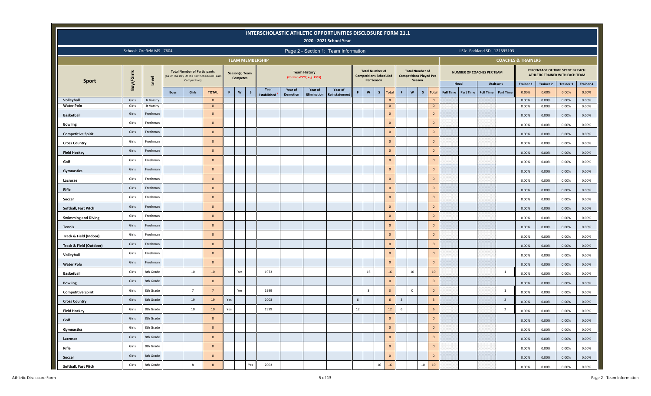|                                 |                |                            |             |                                                                                                   |                                |     |                                   |              |                        |                 |                                                   | INTERSCHOLASTIC ATHLETIC OPPORTUNITIES DISCLOSURE FORM 21.1<br>2020 - 2021 School Year |    |                         |                                                         |                                |                |                                                          |                              |                     |                                      |                               |                  |                                                                     |                  |
|---------------------------------|----------------|----------------------------|-------------|---------------------------------------------------------------------------------------------------|--------------------------------|-----|-----------------------------------|--------------|------------------------|-----------------|---------------------------------------------------|----------------------------------------------------------------------------------------|----|-------------------------|---------------------------------------------------------|--------------------------------|----------------|----------------------------------------------------------|------------------------------|---------------------|--------------------------------------|-------------------------------|------------------|---------------------------------------------------------------------|------------------|
|                                 |                | School: Orefield MS - 7604 |             |                                                                                                   |                                |     |                                   |              |                        |                 |                                                   | Page 2 - Section 1: Team Information                                                   |    |                         |                                                         |                                |                |                                                          |                              |                     | LEA: Parkland SD - 121395103         |                               |                  |                                                                     |                  |
|                                 |                |                            |             |                                                                                                   |                                |     |                                   |              | <b>TEAM MEMBERSHIP</b> |                 |                                                   |                                                                                        |    |                         |                                                         |                                |                |                                                          |                              |                     |                                      | <b>COACHES &amp; TRAINERS</b> |                  |                                                                     |                  |
|                                 | Boys/Girls     |                            |             | <b>Total Number of Participants</b><br>(As Of The Day Of The First Scheduled Team<br>Competition) |                                |     | Season(s) Team<br><b>Competes</b> |              |                        |                 | <b>Team History</b><br>(Format = YYYY, e.g. 1955) |                                                                                        |    | Per Season              | <b>Total Number of</b><br><b>Competitions Scheduled</b> |                                |                | <b>Total Number of</b><br><b>Competitions Played Per</b> |                              |                     | NUMBER OF COACHES PER TEAM           |                               |                  | PERCENTAGE OF TIME SPENT BY EACH<br>ATHLETIC TRAINER WITH EACH TEAM |                  |
| <b>Sport</b>                    |                | Level                      |             |                                                                                                   |                                |     |                                   |              | Year                   | Year of         | Year of                                           | Year of                                                                                |    |                         |                                                         |                                |                | Season                                                   |                              | Head                | Assistant                            | <b>Trainer 1</b>              | <b>Trainer 2</b> | <b>Trainer 3</b>                                                    | <b>Trainer 4</b> |
|                                 |                |                            | <b>Boys</b> | Girls                                                                                             | <b>TOTAL</b>                   | F.  | $\boldsymbol{\mathsf{w}}$         | $\mathsf{s}$ | <b>Established</b>     | <b>Demotion</b> | <b>Elimination</b>                                | Reinstatement                                                                          | F. | $\mathsf{w}$            | S                                                       | <b>Total</b>                   | F              | $\boldsymbol{\mathsf{w}}$                                | $\mathsf{s}$<br><b>Total</b> | Full Time Part Time | <b>Full Time</b><br><b>Part Time</b> | 0.00%                         | 0.00%            | 0.00%                                                               | 0.00%            |
| Volleyball<br><b>Water Polo</b> | Girls<br>Girls | Jr Varsity<br>Jr Varsity   |             |                                                                                                   | $\mathbf{0}$<br>$\overline{0}$ |     |                                   |              |                        |                 |                                                   |                                                                                        |    |                         |                                                         | $\mathbf{0}$<br>$\overline{0}$ |                |                                                          | $\mathbf{0}$<br>$\mathbf{0}$ |                     |                                      | 0.00%<br>0.00%                | 0.00%<br>0.00%   | 0.00%<br>0.00%                                                      | 0.00%<br>0.00%   |
| <b>Basketball</b>               | Girls          | Freshman                   |             |                                                                                                   | $\mathbf{0}$                   |     |                                   |              |                        |                 |                                                   |                                                                                        |    |                         |                                                         | $\mathbf 0$                    |                |                                                          | $\mathbf{0}$                 |                     |                                      | 0.00%                         | 0.00%            | 0.00%                                                               | 0.00%            |
| <b>Bowling</b>                  | Girls          | Freshman                   |             |                                                                                                   | $\mathbf{0}$                   |     |                                   |              |                        |                 |                                                   |                                                                                        |    |                         |                                                         | $\mathbf{0}$                   |                |                                                          | $\mathbf{0}$                 |                     |                                      | 0.00%                         | 0.00%            | 0.00%                                                               | 0.00%            |
| <b>Competitive Spirit</b>       | Girls          | Freshman                   |             |                                                                                                   | $\Omega$                       |     |                                   |              |                        |                 |                                                   |                                                                                        |    |                         |                                                         | $\mathbf{0}$                   |                |                                                          | $\mathbf{0}$                 |                     |                                      | 0.00%                         | 0.00%            | 0.00%                                                               | 0.00%            |
| <b>Cross Country</b>            | Girls          | Freshman                   |             |                                                                                                   | $\overline{0}$                 |     |                                   |              |                        |                 |                                                   |                                                                                        |    |                         |                                                         | $\mathsf{O}\xspace$            |                |                                                          | $\mathbf{0}$                 |                     |                                      | 0.00%                         | 0.00%            | 0.00%                                                               | 0.00%            |
| <b>Field Hockey</b>             | Girls          | Freshman                   |             |                                                                                                   | $\Omega$                       |     |                                   |              |                        |                 |                                                   |                                                                                        |    |                         |                                                         | $\mathbf{0}$                   |                |                                                          | $\mathbf{0}$                 |                     |                                      | 0.00%                         | 0.00%            | 0.00%                                                               | 0.00%            |
| Golf                            | Girls          | Freshman                   |             |                                                                                                   | $\mathbf{0}$                   |     |                                   |              |                        |                 |                                                   |                                                                                        |    |                         |                                                         | $\mathbf 0$                    |                |                                                          | $\mathbf{0}$                 |                     |                                      | 0.00%                         | 0.00%            | 0.00%                                                               | 0.00%            |
| Gymnastics                      | Girls          | Freshman                   |             |                                                                                                   | $\mathbf{0}$                   |     |                                   |              |                        |                 |                                                   |                                                                                        |    |                         |                                                         | $\mathbf 0$                    |                |                                                          | $\mathbf{0}$                 |                     |                                      | 0.00%                         | 0.00%            | 0.00%                                                               | 0.00%            |
| Lacrosse                        | Girls          | Freshman                   |             |                                                                                                   | $\Omega$                       |     |                                   |              |                        |                 |                                                   |                                                                                        |    |                         |                                                         | $\mathbf{0}$                   |                |                                                          | $\mathbf{0}$                 |                     |                                      | 0.00%                         | 0.00%            | 0.00%                                                               | 0.00%            |
| Rifle                           | Girls          | Freshman                   |             |                                                                                                   | $\Omega$                       |     |                                   |              |                        |                 |                                                   |                                                                                        |    |                         |                                                         | $\mathbf{0}$                   |                |                                                          | $\mathbf{0}$                 |                     |                                      | 0.00%                         | 0.00%            | 0.00%                                                               | 0.00%            |
| Soccer                          | Girls          | Freshman                   |             |                                                                                                   | $\Omega$                       |     |                                   |              |                        |                 |                                                   |                                                                                        |    |                         |                                                         | $\mathbf{0}$                   |                |                                                          | $\mathbf{0}$                 |                     |                                      | 0.00%                         | 0.00%            | 0.00%                                                               | 0.00%            |
| Softball, Fast Pitch            | Girls          | Freshman                   |             |                                                                                                   | $\mathbf{0}$                   |     |                                   |              |                        |                 |                                                   |                                                                                        |    |                         |                                                         | $\mathbf 0$                    |                |                                                          | $\mathbf{0}$                 |                     |                                      | 0.00%                         | 0.00%            | 0.00%                                                               | 0.00%            |
| <b>Swimming and Diving</b>      | Girls          | Freshman                   |             |                                                                                                   | $\mathbf{0}$                   |     |                                   |              |                        |                 |                                                   |                                                                                        |    |                         |                                                         | $\mathbf{0}$                   |                |                                                          | $\mathbf{0}$                 |                     |                                      | 0.00%                         | 0.00%            | 0.00%                                                               | 0.00%            |
| <b>Tennis</b>                   | Girls          | Freshman                   |             |                                                                                                   | $\Omega$                       |     |                                   |              |                        |                 |                                                   |                                                                                        |    |                         |                                                         | $\mathbf{0}$                   |                |                                                          | $\mathbf{0}$                 |                     |                                      | 0.00%                         | 0.00%            | 0.00%                                                               | 0.00%            |
| Track & Field (Indoor)          | Girls          | Freshman                   |             |                                                                                                   | $\overline{0}$                 |     |                                   |              |                        |                 |                                                   |                                                                                        |    |                         |                                                         | $\mathbf{0}$                   |                |                                                          | $\mathbf{0}$                 |                     |                                      | 0.00%                         | 0.00%            | 0.00%                                                               | 0.00%            |
| Track & Field (Outdoor)         | Girls          | Freshman                   |             |                                                                                                   | $\Omega$                       |     |                                   |              |                        |                 |                                                   |                                                                                        |    |                         |                                                         | $\mathbf{0}$                   |                |                                                          | $\mathbf{0}$                 |                     |                                      | 0.00%                         | 0.00%            | 0.00%                                                               | 0.00%            |
| Volleyball                      | Girls          | Freshman                   |             |                                                                                                   | $\mathbf{0}$                   |     |                                   |              |                        |                 |                                                   |                                                                                        |    |                         |                                                         | $\mathbf 0$                    |                |                                                          | $\mathbf{0}$                 |                     |                                      | 0.00%                         | 0.00%            | 0.00%                                                               | 0.00%            |
| <b>Water Polo</b>               | Girls          | Freshman                   |             |                                                                                                   | $\mathbf{0}$                   |     |                                   |              |                        |                 |                                                   |                                                                                        |    |                         |                                                         | $\mathbf 0$                    |                |                                                          | $\mathbf{0}$                 |                     |                                      | 0.00%                         | 0.00%            | 0.00%                                                               | 0.00%            |
| <b>Basketball</b>               | Girls          | 8th Grade                  |             | $10\,$                                                                                            | 10                             |     | Yes                               |              | 1973                   |                 |                                                   |                                                                                        |    | 16                      |                                                         | 16                             |                | $10\,$                                                   | 10                           |                     | 1                                    | 0.00%                         | 0.00%            | 0.00%                                                               | 0.00%            |
| <b>Bowling</b>                  | Girls          | 8th Grade                  |             |                                                                                                   | $\Omega$                       |     |                                   |              |                        |                 |                                                   |                                                                                        |    |                         |                                                         | $\mathbf{0}$                   |                |                                                          | $\mathbf{0}$                 |                     |                                      | 0.00%                         | 0.00%            | 0.00%                                                               | 0.00%            |
| <b>Competitive Spirit</b>       | Girls          | 8th Grade                  |             | $\overline{7}$                                                                                    | $\overline{7}$                 |     | Yes                               |              | 1999                   |                 |                                                   |                                                                                        |    | $\overline{\mathbf{3}}$ |                                                         | $\overline{3}$                 |                | $\mathbf 0$                                              | $\mathbf{0}$                 |                     | 1                                    | 0.00%                         | 0.00%            | 0.00%                                                               | 0.00%            |
| <b>Cross Country</b>            | Girls          | 8th Grade                  |             | 19                                                                                                | 19                             | Yes |                                   |              | 2003                   |                 |                                                   |                                                                                        | 6  |                         |                                                         | 6                              | $\overline{3}$ |                                                          | $\overline{\mathbf{3}}$      |                     | $\overline{2}$                       | 0.00%                         | 0.00%            | 0.00%                                                               | 0.00%            |
| <b>Field Hockey</b>             | Girls          | 8th Grade                  |             | $10\,$                                                                                            | 10                             | Yes |                                   |              | 1999                   |                 |                                                   |                                                                                        | 12 |                         |                                                         | 12                             | 6              |                                                          | $6\phantom{1}$               |                     | $\overline{2}$                       | 0.00%                         | 0.00%            | 0.00%                                                               | 0.00%            |
| Golf                            | Girls          | 8th Grade                  |             |                                                                                                   | $\overline{0}$                 |     |                                   |              |                        |                 |                                                   |                                                                                        |    |                         |                                                         | $\mathbf{0}$                   |                |                                                          | $\mathbf{0}$                 |                     |                                      | 0.00%                         | 0.00%            | 0.00%                                                               | 0.00%            |
| Gymnastics                      | Girls          | 8th Grade                  |             |                                                                                                   | $\overline{0}$                 |     |                                   |              |                        |                 |                                                   |                                                                                        |    |                         |                                                         | $\mathbf 0$                    |                |                                                          | $\mathbf{0}$                 |                     |                                      | 0.00%                         | 0.00%            | 0.00%                                                               | 0.00%            |
| Lacrosse                        | Girls          | 8th Grade                  |             |                                                                                                   | $\overline{0}$                 |     |                                   |              |                        |                 |                                                   |                                                                                        |    |                         |                                                         | $\mathbf 0$                    |                |                                                          | $\mathbf 0$                  |                     |                                      | 0.00%                         | 0.00%            | 0.00%                                                               | 0.00%            |
| Rifle                           | Girls          | 8th Grade                  |             |                                                                                                   | $\overline{0}$                 |     |                                   |              |                        |                 |                                                   |                                                                                        |    |                         |                                                         | $\overline{0}$                 |                |                                                          | $\mathbf 0$                  |                     |                                      | 0.00%                         | 0.00%            | 0.00%                                                               | 0.00%            |
| Soccer                          | Girls          | 8th Grade                  |             |                                                                                                   | $\overline{0}$                 |     |                                   |              |                        |                 |                                                   |                                                                                        |    |                         |                                                         | $\mathbf 0$                    |                |                                                          | $\mathbf{0}$                 |                     |                                      | 0.00%                         | 0.00%            | 0.00%                                                               | 0.00%            |
| Softball, Fast Pitch            | Girls          | 8th Grade                  |             | $\boldsymbol{8}$                                                                                  | 8                              |     |                                   | Yes          | 2003                   |                 |                                                   |                                                                                        |    |                         | 16                                                      | $16\,$                         |                |                                                          | $10\,$<br>$10$               |                     |                                      | 0.00%                         | 0.00%            | 0.00%                                                               | 0.00%            |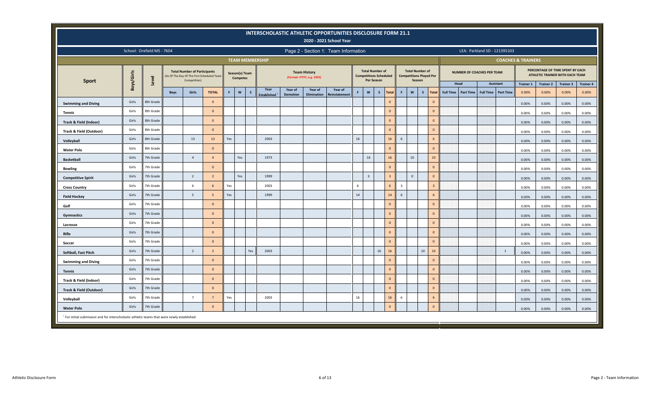|                                                                                                         |                                                                                                                                                                                                                         |                            |             |                                                                                                   |                |                |                 |                        |                    |                 |                                                   | INTERSCHOLASTIC ATHLETIC OPPORTUNITIES DISCLOSURE FORM 21.1<br>2020 - 2021 School Year |    |                                                                              |              |                |                |                                                                    |                        |                  |                                   |                              |                  |                               |                  |                                                                     |                  |
|---------------------------------------------------------------------------------------------------------|-------------------------------------------------------------------------------------------------------------------------------------------------------------------------------------------------------------------------|----------------------------|-------------|---------------------------------------------------------------------------------------------------|----------------|----------------|-----------------|------------------------|--------------------|-----------------|---------------------------------------------------|----------------------------------------------------------------------------------------|----|------------------------------------------------------------------------------|--------------|----------------|----------------|--------------------------------------------------------------------|------------------------|------------------|-----------------------------------|------------------------------|------------------|-------------------------------|------------------|---------------------------------------------------------------------|------------------|
|                                                                                                         |                                                                                                                                                                                                                         | School: Orefield MS - 7604 |             |                                                                                                   |                |                |                 |                        |                    |                 |                                                   | Page 2 - Section 1: Team Information                                                   |    |                                                                              |              |                |                |                                                                    |                        |                  |                                   | LEA: Parkland SD - 121395103 |                  |                               |                  |                                                                     |                  |
|                                                                                                         |                                                                                                                                                                                                                         |                            |             |                                                                                                   |                |                |                 | <b>TEAM MEMBERSHIP</b> |                    |                 |                                                   |                                                                                        |    |                                                                              |              |                |                |                                                                    |                        |                  |                                   |                              |                  | <b>COACHES &amp; TRAINERS</b> |                  |                                                                     |                  |
| <b>Sport</b>                                                                                            | Boys/Girls                                                                                                                                                                                                              | Level                      |             | <b>Total Number of Participants</b><br>(As Of The Day Of The First Scheduled Team<br>Competition) |                | Season(s) Team | <b>Competes</b> |                        |                    |                 | <b>Team History</b><br>(Format = YYYY, e.g. 1955) |                                                                                        |    | <b>Total Number of</b><br><b>Competitions Scheduled</b><br><b>Per Season</b> |              |                |                | <b>Total Number of</b><br><b>Competitions Played Per</b><br>Season |                        |                  | <b>NUMBER OF COACHES PER TEAM</b> |                              |                  |                               |                  | PERCENTAGE OF TIME SPENT BY EACH<br>ATHLETIC TRAINER WITH EACH TEAM |                  |
|                                                                                                         |                                                                                                                                                                                                                         |                            |             |                                                                                                   |                |                |                 |                        | Year               | Year of         | Year of                                           | Year of                                                                                |    |                                                                              |              |                |                |                                                                    |                        |                  | Head                              |                              | <b>Assistant</b> | <b>Trainer 1</b>              | <b>Trainer 2</b> | <b>Trainer 3</b>                                                    | <b>Trainer 4</b> |
|                                                                                                         |                                                                                                                                                                                                                         |                            | <b>Boys</b> | Girls                                                                                             | <b>TOTAL</b>   | F.             | $\mathsf{w}$    | s                      | <b>Established</b> | <b>Demotion</b> | Elimination                                       | <b>Reinstatement</b>                                                                   | F  | $\boldsymbol{\mathsf{w}}$                                                    | $\mathsf{s}$ | Total          | <b>F</b>       | $\mathsf{w}$                                                       | $\mathsf{s}$<br>Total  | <b>Full Time</b> | <b>Part Time</b>                  | <b>Full Time</b>             | <b>Part Time</b> | 0.00%                         | 0.00%            | 0.00%                                                               | 0.00%            |
| <b>Swimming and Diving</b>                                                                              | Girls                                                                                                                                                                                                                   | 8th Grade                  |             |                                                                                                   | $\Omega$       |                |                 |                        |                    |                 |                                                   |                                                                                        |    |                                                                              |              | $\mathbf{0}$   |                |                                                                    | $\Omega$               |                  |                                   |                              |                  | 0.00%                         | 0.00%            | 0.00%                                                               | 0.00%            |
| <b>Tennis</b>                                                                                           | Girls                                                                                                                                                                                                                   | 8th Grade                  |             |                                                                                                   | $\Omega$       |                |                 |                        |                    |                 |                                                   |                                                                                        |    |                                                                              |              | $\mathbf 0$    |                |                                                                    | $\mathbf{0}$           |                  |                                   |                              |                  | 0.00%                         | 0.00%            | 0.00%                                                               | 0.00%            |
| <b>Track &amp; Field (Indoor)</b>                                                                       | Girls                                                                                                                                                                                                                   | 8th Grade                  |             |                                                                                                   | $\mathbf{0}$   |                |                 |                        |                    |                 |                                                   |                                                                                        |    |                                                                              |              | $\mathbf{0}$   |                |                                                                    | $\mathbf{0}$           |                  |                                   |                              |                  | 0.00%                         | 0.00%            | 0.00%                                                               | 0.00%            |
| Track & Field (Outdoor)                                                                                 | Girls                                                                                                                                                                                                                   | 8th Grade                  |             |                                                                                                   | $\Omega$       |                |                 |                        |                    |                 |                                                   |                                                                                        |    |                                                                              |              | $\mathbf{0}$   |                |                                                                    | $\Omega$               |                  |                                   |                              |                  | 0.00%                         | 0.00%            | 0.00%                                                               | 0.00%            |
| Volleyball                                                                                              | 16<br>Girls<br>13<br>Yes<br>2003<br>8th Grade<br>13<br>16<br>6<br>6<br>$\mathbf 0$<br>$\mathbf{0}$<br>Girls<br>8th Grade<br>$\mathbf{0}$<br>16<br>Girls<br>7th Grade<br>$\overline{4}$<br>Yes<br>1973<br>16<br>10<br>10 |                            |             |                                                                                                   |                |                |                 |                        |                    |                 |                                                   |                                                                                        |    |                                                                              |              |                |                |                                                                    |                        | 0.00%            | 0.00%                             | 0.00%                        | 0.00%            |                               |                  |                                                                     |                  |
| <b>Water Polo</b>                                                                                       |                                                                                                                                                                                                                         |                            |             |                                                                                                   |                |                |                 |                        |                    |                 |                                                   |                                                                                        |    |                                                                              |              |                |                |                                                                    |                        | 0.00%            | 0.00%                             | 0.00%                        | 0.00%            |                               |                  |                                                                     |                  |
| <b>Basketball</b>                                                                                       | $\Omega$                                                                                                                                                                                                                |                            |             |                                                                                                   |                |                |                 |                        |                    |                 |                                                   |                                                                                        |    |                                                                              |              |                |                |                                                                    |                        |                  | 0.00%                             | 0.00%                        | 0.00%            | 0.00%                         |                  |                                                                     |                  |
| <b>Bowling</b>                                                                                          | $\mathbf{0}$<br>Girls<br>7th Grade                                                                                                                                                                                      |                            |             |                                                                                                   |                |                |                 |                        |                    |                 |                                                   |                                                                                        |    |                                                                              | $\Omega$     |                |                |                                                                    |                        | 0.00%            | 0.00%                             | 0.00%                        | 0.00%            |                               |                  |                                                                     |                  |
| <b>Competitive Spirit</b>                                                                               | Girls                                                                                                                                                                                                                   | 7th Grade                  |             | $\overline{2}$                                                                                    | $\overline{2}$ |                | Yes             |                        | 1999               |                 |                                                   |                                                                                        |    | $\overline{3}$                                                               |              | $\overline{3}$ |                | $\mathsf 0$                                                        | $\mathbf{0}$           |                  |                                   |                              |                  | 0.00%                         | 0.00%            | 0.00%                                                               | 0.00%            |
| <b>Cross Country</b>                                                                                    | Girls                                                                                                                                                                                                                   | 7th Grade                  |             | 6                                                                                                 | 6              | Yes            |                 |                        | 2003               |                 |                                                   |                                                                                        | 6  |                                                                              |              | 6              | $\overline{3}$ |                                                                    | $\overline{3}$         |                  |                                   |                              |                  | 0.00%                         | 0.00%            | 0.00%                                                               | 0.00%            |
| <b>Field Hockey</b>                                                                                     | Girls                                                                                                                                                                                                                   | 7th Grade                  |             | 5                                                                                                 |                | Yes            |                 |                        | 1999               |                 |                                                   |                                                                                        | 14 |                                                                              |              | 14             | 6              |                                                                    | 6                      |                  |                                   |                              |                  | 0.00%                         | 0.00%            | 0.00%                                                               | 0.00%            |
| Golf                                                                                                    | Girls                                                                                                                                                                                                                   | 7th Grade                  |             |                                                                                                   | $\mathbf{0}$   |                |                 |                        |                    |                 |                                                   |                                                                                        |    |                                                                              |              | $\mathbf{0}$   |                |                                                                    | $\mathbf{0}$           |                  |                                   |                              |                  | 0.00%                         | 0.00%            | 0.00%                                                               | 0.00%            |
| Gymnastics                                                                                              | Girls                                                                                                                                                                                                                   | 7th Grade                  |             |                                                                                                   | $\mathbf{0}$   |                |                 |                        |                    |                 |                                                   |                                                                                        |    |                                                                              |              | $\mathbf 0$    |                |                                                                    | $\Omega$               |                  |                                   |                              |                  | 0.00%                         | 0.00%            | 0.00%                                                               | 0.00%            |
| Lacrosse                                                                                                | Girls                                                                                                                                                                                                                   | 7th Grade                  |             |                                                                                                   | $\mathbf{0}$   |                |                 |                        |                    |                 |                                                   |                                                                                        |    |                                                                              |              | $\mathbf{0}$   |                |                                                                    | $\mathbf{0}$           |                  |                                   |                              |                  | 0.00%                         | 0.00%            | 0.00%                                                               | 0.00%            |
| <b>Rifle</b>                                                                                            | Girls                                                                                                                                                                                                                   | 7th Grade                  |             |                                                                                                   | $\mathbf{0}$   |                |                 |                        |                    |                 |                                                   |                                                                                        |    |                                                                              |              | $\mathbf{0}$   |                |                                                                    | $\mathbf{0}$           |                  |                                   |                              |                  | 0.00%                         | 0.00%            | 0.00%                                                               | 0.00%            |
| Soccer                                                                                                  | Girls                                                                                                                                                                                                                   | 7th Grade                  |             |                                                                                                   | $\overline{0}$ |                |                 |                        |                    |                 |                                                   |                                                                                        |    |                                                                              |              | $\mathbf{0}$   |                |                                                                    | $\Omega$               |                  |                                   |                              |                  | 0.00%                         | 0.00%            | 0.00%                                                               | 0.00%            |
| Softball, Fast Pitch                                                                                    | Girls                                                                                                                                                                                                                   | 7th Grade                  |             | $\overline{2}$                                                                                    | $\overline{2}$ |                |                 | Yes                    | 2003               |                 |                                                   |                                                                                        |    |                                                                              | 16           | 16             |                |                                                                    | 10 <sup>10</sup><br>10 |                  |                                   |                              | 1                | 0.00%                         | 0.00%            | 0.00%                                                               | 0.00%            |
| <b>Swimming and Diving</b>                                                                              | Girls                                                                                                                                                                                                                   | 7th Grade                  |             |                                                                                                   | $\Omega$       |                |                 |                        |                    |                 |                                                   |                                                                                        |    |                                                                              |              | $\mathbf{0}$   |                |                                                                    | $\mathbf{0}$           |                  |                                   |                              |                  | 0.00%                         | 0.00%            | 0.00%                                                               | 0.00%            |
| <b>Tennis</b>                                                                                           | Girls                                                                                                                                                                                                                   | 7th Grade                  |             |                                                                                                   | $\Omega$       |                |                 |                        |                    |                 |                                                   |                                                                                        |    |                                                                              |              | $\mathbf{0}$   |                |                                                                    | $\Omega$               |                  |                                   |                              |                  | 0.00%                         | 0.00%            | 0.00%                                                               | 0.00%            |
| Track & Field (Indoor)                                                                                  | Girls                                                                                                                                                                                                                   | 7th Grade                  |             |                                                                                                   | $\mathbf{0}$   |                |                 |                        |                    |                 |                                                   |                                                                                        |    |                                                                              |              | $\mathbf{0}$   |                |                                                                    | $\Omega$               |                  |                                   |                              |                  | 0.00%                         | 0.00%            | 0.00%                                                               | 0.00%            |
| <b>Track &amp; Field (Outdoor)</b>                                                                      | Girls                                                                                                                                                                                                                   | 7th Grade                  |             |                                                                                                   | $\mathbf{0}$   |                |                 |                        |                    |                 |                                                   |                                                                                        |    |                                                                              |              | $\mathbf{0}$   |                |                                                                    | $\mathbf{0}$           |                  |                                   |                              |                  | 0.00%                         | 0.00%            | 0.00%                                                               | 0.00%            |
| Volleyball                                                                                              | Girls                                                                                                                                                                                                                   | 7th Grade                  |             | $\overline{7}$                                                                                    |                | Yes            |                 |                        | 2003               |                 |                                                   |                                                                                        | 16 |                                                                              |              | 16             | -6             |                                                                    | 6                      |                  |                                   |                              |                  | 0.00%                         | 0.00%            | 0.00%                                                               | 0.00%            |
| <b>Water Polo</b>                                                                                       | Girls                                                                                                                                                                                                                   | 7th Grade                  |             |                                                                                                   | $\mathbf{0}$   |                |                 |                        |                    |                 |                                                   |                                                                                        |    |                                                                              |              | $\mathbf{0}$   |                |                                                                    | $\mathbf{0}$           |                  |                                   |                              |                  | 0.00%                         | 0.00%            | 0.00%                                                               | 0.00%            |
| <sup>1</sup> For initial submission and for interscholastic athletic teams that were newly established. |                                                                                                                                                                                                                         |                            |             |                                                                                                   |                |                |                 |                        |                    |                 |                                                   |                                                                                        |    |                                                                              |              |                |                |                                                                    |                        |                  |                                   |                              |                  |                               |                  |                                                                     |                  |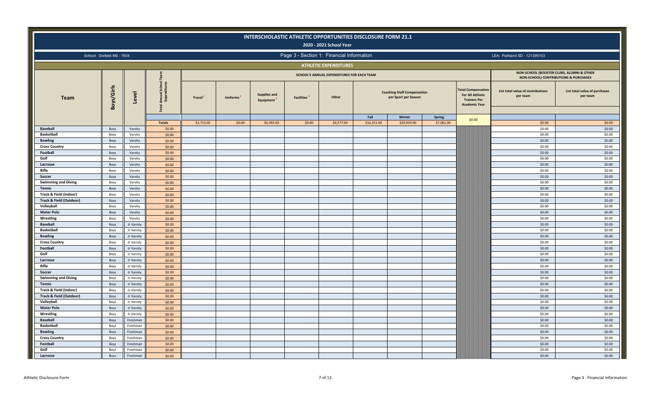|                                     |                            |                          |                                        |            |           | <b>INTERSCHOLASTIC ATHLETIC OPPORTUNITIES DISCLOSURE FORM 21.1</b> |                   | 2020 - 2021 School Year                    |             |                                                            |            |                                                                                                     |                                                                                               |                                           |
|-------------------------------------|----------------------------|--------------------------|----------------------------------------|------------|-----------|--------------------------------------------------------------------|-------------------|--------------------------------------------|-------------|------------------------------------------------------------|------------|-----------------------------------------------------------------------------------------------------|-----------------------------------------------------------------------------------------------|-------------------------------------------|
|                                     | School: Orefield MS - 7604 |                          |                                        |            |           |                                                                    |                   | Page 3 - Section 1: Financial Information  |             |                                                            |            |                                                                                                     | LEA: Parkland SD - 121395103                                                                  |                                           |
|                                     |                            |                          |                                        |            |           |                                                                    |                   | <b>ATHLETIC EXPENDITURES</b>               |             |                                                            |            |                                                                                                     |                                                                                               |                                           |
|                                     |                            |                          |                                        |            |           |                                                                    |                   | SCHOOL'S ANNUAL EXPENDITURES FOR EACH TEAM |             |                                                            |            |                                                                                                     | NON-SCHOOL (BOOSTER CLUBS, ALUMNI & OTHER<br><b>NON-SCHOOL) CONTRIBUTIONS &amp; PURCHASES</b> |                                           |
| <b>Team</b>                         | Boys/Girls                 | Level                    | ខ ខ<br>ist<br>ditu<br>Annual<br>Expenc | Travel     | Uniforms' | <b>Supplies and</b><br>Equipment                                   | <b>Facilities</b> | Other                                      |             | <b>Coaching Staff Compensation</b><br>per Sport per Season |            | <b>Total Compensation</b><br><b>For All Athletic</b><br><b>Trainers Per</b><br><b>Academic Year</b> | List total value of contributions<br>per team                                                 | List total value of purchases<br>per team |
|                                     |                            |                          |                                        |            |           |                                                                    |                   |                                            | Fall        | Winter                                                     | Spring     | \$0.00                                                                                              |                                                                                               |                                           |
|                                     |                            |                          | <b>Totals</b>                          | \$2,713.00 | \$0.00    | \$6,392.00                                                         | \$0.00            | \$4,577.00                                 | \$16,351.00 | \$20,929.00                                                | \$7,061.00 |                                                                                                     | \$0.00                                                                                        | \$0.00                                    |
| <b>Baseball</b>                     | Boys                       | Varsity                  | \$0.00                                 |            |           |                                                                    |                   |                                            |             |                                                            |            |                                                                                                     | \$0.00                                                                                        | \$0.00                                    |
| <b>Basketball</b><br><b>Bowling</b> | Boys                       | Varsity                  | \$0.00                                 |            |           |                                                                    |                   |                                            |             |                                                            |            |                                                                                                     | \$0.00<br>\$0.00                                                                              | \$0.00<br>\$0.00                          |
| <b>Cross Country</b>                | Boys<br>Boys               | Varsity<br>Varsity       | \$0.00<br>\$0.00                       |            |           |                                                                    |                   |                                            |             |                                                            |            |                                                                                                     | \$0.00                                                                                        | \$0.00                                    |
| Football                            | Boys                       | Varsity                  | \$0.00                                 |            |           |                                                                    |                   |                                            |             |                                                            |            |                                                                                                     | \$0.00                                                                                        | \$0.00                                    |
| Golf                                | Boys                       | Varsity                  | \$0.00                                 |            |           |                                                                    |                   |                                            |             |                                                            |            |                                                                                                     | \$0.00                                                                                        | \$0.00                                    |
| Lacrosse                            | Boys                       | Varsity                  | \$0.00                                 |            |           |                                                                    |                   |                                            |             |                                                            |            |                                                                                                     | \$0.00                                                                                        | \$0.00                                    |
| Rifle                               | Boys                       | Varsity                  | \$0.00                                 |            |           |                                                                    |                   |                                            |             |                                                            |            |                                                                                                     | \$0.00                                                                                        | \$0.00                                    |
| Soccer                              | Boys                       | Varsity                  | \$0.00                                 |            |           |                                                                    |                   |                                            |             |                                                            |            |                                                                                                     | \$0.00                                                                                        | \$0.00                                    |
| <b>Swimming and Diving</b>          | Boys                       | Varsity                  | \$0.00                                 |            |           |                                                                    |                   |                                            |             |                                                            |            |                                                                                                     | \$0.00                                                                                        | \$0.00                                    |
| <b>Tennis</b>                       | Boys                       | Varsity                  | \$0.00                                 |            |           |                                                                    |                   |                                            |             |                                                            |            |                                                                                                     | \$0.00                                                                                        | \$0.00                                    |
| Track & Field (Indoor)              | Boys                       | Varsity                  | \$0.00                                 |            |           |                                                                    |                   |                                            |             |                                                            |            |                                                                                                     | \$0.00                                                                                        | \$0.00                                    |
| Track & Field (Outdoor)             | Boys                       | Varsity                  | \$0.00                                 |            |           |                                                                    |                   |                                            |             |                                                            |            |                                                                                                     | \$0.00                                                                                        | \$0.00                                    |
| Volleyball                          | Boys                       | Varsity                  | \$0.00                                 |            |           |                                                                    |                   |                                            |             |                                                            |            |                                                                                                     | \$0.00                                                                                        | \$0.00                                    |
| <b>Water Polo</b>                   | Boys                       | Varsity                  | \$0.00                                 |            |           |                                                                    |                   |                                            |             |                                                            |            |                                                                                                     | \$0.00                                                                                        | \$0.00                                    |
| Wrestling                           | Boys                       | Varsity                  | \$0.00                                 |            |           |                                                                    |                   |                                            |             |                                                            |            |                                                                                                     | \$0.00                                                                                        | \$0.00                                    |
| <b>Baseball</b>                     | Boys                       | Jr Varsity               | \$0.00                                 |            |           |                                                                    |                   |                                            |             |                                                            |            |                                                                                                     | \$0.00                                                                                        | \$0.00                                    |
| Basketball                          | Boys                       | Jr Varsity               | \$0.00                                 |            |           |                                                                    |                   |                                            |             |                                                            |            |                                                                                                     | \$0.00                                                                                        | \$0.00                                    |
| <b>Bowling</b>                      | Boys                       | Jr Varsity               | \$0.00                                 |            |           |                                                                    |                   |                                            |             |                                                            |            |                                                                                                     | \$0.00                                                                                        | \$0.00                                    |
| <b>Cross Country</b>                | Boys                       | Jr Varsity               | \$0.00                                 |            |           |                                                                    |                   |                                            |             |                                                            |            |                                                                                                     | \$0.00<br>\$0.00                                                                              | \$0.00<br>\$0.00                          |
| Football<br>Golf                    | Boys                       | Jr Varsity<br>Jr Varsity | \$0.00                                 |            |           |                                                                    |                   |                                            |             |                                                            |            |                                                                                                     | \$0.00                                                                                        | \$0.00                                    |
| Lacrosse                            | Boys<br>Boys               | Jr Varsity               | \$0.00<br>\$0.00                       |            |           |                                                                    |                   |                                            |             |                                                            |            |                                                                                                     | \$0.00                                                                                        | \$0.00                                    |
| Rifle                               | Boys                       | Jr Varsity               | \$0.00                                 |            |           |                                                                    |                   |                                            |             |                                                            |            |                                                                                                     | \$0.00                                                                                        | \$0.00                                    |
| Soccer                              | Boys                       | Jr Varsity               | \$0.00                                 |            |           |                                                                    |                   |                                            |             |                                                            |            |                                                                                                     | \$0.00                                                                                        | \$0.00                                    |
| <b>Swimming and Diving</b>          | Boys                       | Jr Varsity               | \$0.00                                 |            |           |                                                                    |                   |                                            |             |                                                            |            |                                                                                                     | \$0.00                                                                                        | \$0.00                                    |
| <b>Tennis</b>                       | Boys                       | Jr Varsity               | \$0.00                                 |            |           |                                                                    |                   |                                            |             |                                                            |            |                                                                                                     | \$0.00                                                                                        | \$0.00                                    |
| Track & Field (Indoor)              | Boys                       | Jr Varsity               | \$0.00                                 |            |           |                                                                    |                   |                                            |             |                                                            |            |                                                                                                     | \$0.00                                                                                        | \$0.00                                    |
| Track & Field (Outdoor)             | Boys                       | Jr Varsity               | \$0.00                                 |            |           |                                                                    |                   |                                            |             |                                                            |            |                                                                                                     | \$0.00                                                                                        | \$0.00                                    |
| Volleyball                          | Boys                       | Jr Varsity               | \$0.00                                 |            |           |                                                                    |                   |                                            |             |                                                            |            |                                                                                                     | \$0.00                                                                                        | \$0.00                                    |
| <b>Water Polo</b>                   | Boys                       | Jr Varsity               | \$0.00                                 |            |           |                                                                    |                   |                                            |             |                                                            |            |                                                                                                     | \$0.00                                                                                        | \$0.00                                    |
| Wrestling                           | Boys                       | Jr Varsity               | \$0.00                                 |            |           |                                                                    |                   |                                            |             |                                                            |            |                                                                                                     | \$0.00                                                                                        | \$0.00                                    |
| <b>Baseball</b>                     | Boys                       | Freshman                 | \$0.00                                 |            |           |                                                                    |                   |                                            |             |                                                            |            |                                                                                                     | \$0.00                                                                                        | \$0.00                                    |
| <b>Basketball</b>                   | Boys                       | Freshman                 | \$0.00                                 |            |           |                                                                    |                   |                                            |             |                                                            |            |                                                                                                     | \$0.00                                                                                        | \$0.00                                    |
| <b>Bowling</b>                      | Boys                       | Freshman                 | \$0.00                                 |            |           |                                                                    |                   |                                            |             |                                                            |            |                                                                                                     | \$0.00                                                                                        | \$0.00                                    |
| <b>Cross Country</b>                | Boys                       | Freshman                 | \$0.00                                 |            |           |                                                                    |                   |                                            |             |                                                            |            |                                                                                                     | \$0.00                                                                                        | \$0.00                                    |
| Football                            | Boys                       | Freshman                 | \$0.00                                 |            |           |                                                                    |                   |                                            |             |                                                            |            |                                                                                                     | \$0.00                                                                                        | \$0.00                                    |
| Golf                                | Boys                       | Freshman                 | \$0.00                                 |            |           |                                                                    |                   |                                            |             |                                                            |            |                                                                                                     | \$0.00                                                                                        | \$0.00                                    |
| Lacrosse                            | Boys                       | Freshman                 | \$0.00                                 |            |           |                                                                    |                   |                                            |             |                                                            |            |                                                                                                     | \$0.00                                                                                        | \$0.00                                    |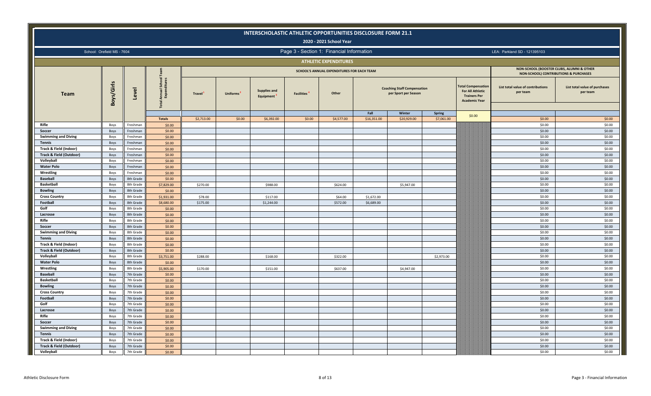|                                                              |                            |                        |                                                                      |            |          |                                  |                                | INTERSCHOLASTIC ATHLETIC OPPORTUNITIES DISCLOSURE FORM 21.1<br>2020 - 2021 School Year |                          |                                                            |               |                                                                                             |                                                                                               |                                           |
|--------------------------------------------------------------|----------------------------|------------------------|----------------------------------------------------------------------|------------|----------|----------------------------------|--------------------------------|----------------------------------------------------------------------------------------|--------------------------|------------------------------------------------------------|---------------|---------------------------------------------------------------------------------------------|-----------------------------------------------------------------------------------------------|-------------------------------------------|
|                                                              | School: Orefield MS - 7604 |                        |                                                                      |            |          |                                  |                                | Page 3 - Section 1: Financial Information                                              |                          |                                                            |               |                                                                                             | LEA: Parkland SD - 121395103                                                                  |                                           |
|                                                              |                            |                        |                                                                      |            |          |                                  |                                | <b>ATHLETIC EXPENDITURES</b>                                                           |                          |                                                            |               |                                                                                             |                                                                                               |                                           |
|                                                              |                            |                        |                                                                      |            |          |                                  |                                | SCHOOL'S ANNUAL EXPENDITURES FOR EACH TEAM                                             |                          |                                                            |               |                                                                                             | NON-SCHOOL (BOOSTER CLUBS, ALUMNI & OTHER<br><b>NON-SCHOOL) CONTRIBUTIONS &amp; PURCHASES</b> |                                           |
| <b>Team</b>                                                  | Boys/Girls                 | Level                  | Annual School<br>Expenditures<br>$\overline{\mathbf{e}}$<br><u>م</u> | Travel     | Uniforms | <b>Supplies and</b><br>Equipment | <b>Facilities</b> <sup>4</sup> | Other                                                                                  |                          | <b>Coaching Staff Compensation</b><br>per Sport per Season |               | otal Compensation<br><b>For All Athletic</b><br><b>Trainers Per</b><br><b>Academic Year</b> | List total value of contributions<br>per team                                                 | List total value of purchases<br>per team |
|                                                              |                            |                        |                                                                      |            |          |                                  |                                |                                                                                        | Fall                     | Winter                                                     | <b>Spring</b> | \$0.00                                                                                      |                                                                                               |                                           |
|                                                              |                            |                        | <b>Totals</b>                                                        | \$2,713.00 | \$0.00   | \$6,392.00                       | \$0.00                         | \$4,577.00                                                                             | \$16,351.00              | \$20,929.00                                                | \$7,061.00    |                                                                                             | \$0.00                                                                                        | \$0.00                                    |
| Rifle                                                        | Boys                       | Freshman               | \$0.00                                                               |            |          |                                  |                                |                                                                                        |                          |                                                            |               |                                                                                             | \$0.00                                                                                        | \$0.00                                    |
| Soccer                                                       | Boys                       | Freshman               | \$0.00                                                               |            |          |                                  |                                |                                                                                        |                          |                                                            |               |                                                                                             | \$0.00                                                                                        | \$0.00                                    |
| <b>Swimming and Diving</b>                                   | Boys                       | Freshman               | \$0.00                                                               |            |          |                                  |                                |                                                                                        |                          |                                                            |               |                                                                                             | \$0.00                                                                                        | \$0.00                                    |
| <b>Tennis</b>                                                | Boys                       | Freshman               | \$0.00                                                               |            |          |                                  |                                |                                                                                        |                          |                                                            |               |                                                                                             | \$0.00                                                                                        | \$0.00                                    |
| Track & Field (Indoor)<br><b>Track &amp; Field (Outdoor)</b> | Boys                       | Freshman<br>Freshman   | \$0.00                                                               |            |          |                                  |                                |                                                                                        |                          |                                                            |               |                                                                                             | \$0.00<br>\$0.00                                                                              | \$0.00<br>\$0.00                          |
| Volleyball                                                   | Boys                       | Freshman               | \$0.00<br>\$0.00                                                     |            |          |                                  |                                |                                                                                        |                          |                                                            |               |                                                                                             | \$0.00                                                                                        | \$0.00                                    |
| <b>Water Polo</b>                                            | Boys                       | Freshman               | \$0.00                                                               |            |          |                                  |                                |                                                                                        |                          |                                                            |               |                                                                                             | \$0.00                                                                                        | \$0.00                                    |
|                                                              | Boys                       |                        |                                                                      |            |          |                                  |                                |                                                                                        |                          |                                                            |               |                                                                                             | \$0.00                                                                                        | \$0.00                                    |
| Wrestling<br><b>Baseball</b>                                 | Boys<br>Boys               | Freshman<br>8th Grade  | \$0.00<br>\$0.00                                                     |            |          |                                  |                                |                                                                                        |                          |                                                            |               |                                                                                             | \$0.00                                                                                        | \$0.00                                    |
| <b>Basketball</b>                                            |                            | 8th Grade              |                                                                      |            |          |                                  |                                |                                                                                        |                          |                                                            |               |                                                                                             | \$0.00                                                                                        | \$0.00                                    |
|                                                              | Boys                       |                        | \$7,829.00                                                           | \$270.00   |          | \$988.00                         |                                | \$624.00                                                                               |                          | \$5,947.00                                                 |               |                                                                                             | \$0.00                                                                                        | \$0.00                                    |
| <b>Bowling</b><br><b>Cross Country</b>                       | Boys                       | 8th Grade<br>8th Grade | \$0.00                                                               | \$78.00    |          |                                  |                                | \$64.00                                                                                |                          |                                                            |               |                                                                                             | \$0.00                                                                                        | \$0.00                                    |
| Football                                                     | Boys<br>Boys               | 8th Grade              | \$1,931.00<br>\$8,680.00                                             | \$175.00   |          | \$117.00<br>\$1,244.00           |                                | \$572.00                                                                               | \$1,672.00<br>\$6,689.00 |                                                            |               |                                                                                             | \$0.00                                                                                        | \$0.00                                    |
| Golf                                                         | Boys                       | 8th Grade              | \$0.00                                                               |            |          |                                  |                                |                                                                                        |                          |                                                            |               |                                                                                             | \$0.00                                                                                        | \$0.00                                    |
| Lacrosse                                                     | Boys                       | 8th Grade              | \$0.00                                                               |            |          |                                  |                                |                                                                                        |                          |                                                            |               |                                                                                             | \$0.00                                                                                        | \$0.00                                    |
| Rifle                                                        | Boys                       | 8th Grade              | \$0.00                                                               |            |          |                                  |                                |                                                                                        |                          |                                                            |               |                                                                                             | \$0.00                                                                                        | \$0.00                                    |
| Soccer                                                       | Boys                       | 8th Grade              | \$0.00                                                               |            |          |                                  |                                |                                                                                        |                          |                                                            |               |                                                                                             | \$0.00                                                                                        | \$0.00                                    |
| <b>Swimming and Diving</b>                                   |                            | 8th Grade              |                                                                      |            |          |                                  |                                |                                                                                        |                          |                                                            |               |                                                                                             | \$0.00                                                                                        | \$0.00                                    |
| <b>Tennis</b>                                                | Boys<br>Boys               | 8th Grade              | \$0.00<br>\$0.00                                                     |            |          |                                  |                                |                                                                                        |                          |                                                            |               |                                                                                             | \$0.00                                                                                        | \$0.00                                    |
| Track & Field (Indoor)                                       | Boys                       | 8th Grade              | \$0.00                                                               |            |          |                                  |                                |                                                                                        |                          |                                                            |               |                                                                                             | \$0.00                                                                                        | \$0.00                                    |
| Track & Field (Outdoor)                                      | Boys                       | 8th Grade              | \$0.00                                                               |            |          |                                  |                                |                                                                                        |                          |                                                            |               |                                                                                             | \$0.00                                                                                        | \$0.00                                    |
| Volleyball                                                   | Boys                       | 8th Grade              | \$3,751.00                                                           | \$288.00   |          | \$168.00                         |                                | \$322.00                                                                               |                          |                                                            | \$2,973.00    |                                                                                             | \$0.00                                                                                        | \$0.00                                    |
| <b>Water Polo</b>                                            | Boys                       | 8th Grade              | \$0.00                                                               |            |          |                                  |                                |                                                                                        |                          |                                                            |               |                                                                                             | \$0.00                                                                                        | \$0.00                                    |
| Wrestling                                                    | Boys                       | 8th Grade              | \$5,905.00                                                           | \$170.00   |          | \$151.00                         |                                | \$637.00                                                                               |                          | \$4,947.00                                                 |               |                                                                                             | \$0.00                                                                                        | \$0.00                                    |
| <b>Baseball</b>                                              | Boys                       | 7th Grade              | \$0.00                                                               |            |          |                                  |                                |                                                                                        |                          |                                                            |               |                                                                                             | \$0.00                                                                                        | \$0.00                                    |
| <b>Basketball</b>                                            | Boys                       | 7th Grade              | \$0.00                                                               |            |          |                                  |                                |                                                                                        |                          |                                                            |               |                                                                                             | \$0.00                                                                                        | \$0.00                                    |
| <b>Bowling</b>                                               | Boys                       | 7th Grade              | \$0.00                                                               |            |          |                                  |                                |                                                                                        |                          |                                                            |               |                                                                                             | \$0.00                                                                                        | \$0.00                                    |
| <b>Cross Country</b>                                         | Boys                       | 7th Grade              | \$0.00                                                               |            |          |                                  |                                |                                                                                        |                          |                                                            |               |                                                                                             | \$0.00                                                                                        | \$0.00                                    |
| Football                                                     | Boys                       | 7th Grade              | \$0.00                                                               |            |          |                                  |                                |                                                                                        |                          |                                                            |               |                                                                                             | \$0.00                                                                                        | \$0.00                                    |
| Golf                                                         | Boys                       | 7th Grade              | \$0.00                                                               |            |          |                                  |                                |                                                                                        |                          |                                                            |               |                                                                                             | \$0.00                                                                                        | \$0.00                                    |
| Lacrosse                                                     | Boys                       | 7th Grade              | \$0.00                                                               |            |          |                                  |                                |                                                                                        |                          |                                                            |               |                                                                                             | \$0.00                                                                                        | \$0.00                                    |
| Rifle                                                        | Boys                       | 7th Grade              | \$0.00                                                               |            |          |                                  |                                |                                                                                        |                          |                                                            |               |                                                                                             | \$0.00                                                                                        | \$0.00                                    |
| Soccer                                                       | Boys                       | 7th Grade              | \$0.00                                                               |            |          |                                  |                                |                                                                                        |                          |                                                            |               |                                                                                             | \$0.00                                                                                        | \$0.00                                    |
| <b>Swimming and Diving</b>                                   | Boys                       | 7th Grade              | \$0.00                                                               |            |          |                                  |                                |                                                                                        |                          |                                                            |               |                                                                                             | \$0.00                                                                                        | \$0.00                                    |
| <b>Tennis</b>                                                | Boys                       | 7th Grade              | \$0.00                                                               |            |          |                                  |                                |                                                                                        |                          |                                                            |               |                                                                                             | \$0.00                                                                                        | \$0.00                                    |
| Track & Field (Indoor)                                       | Boys                       | 7th Grade              | \$0.00                                                               |            |          |                                  |                                |                                                                                        |                          |                                                            |               |                                                                                             | \$0.00                                                                                        | \$0.00                                    |
| Track & Field (Outdoor)                                      | Boys                       | 7th Grade              | \$0.00                                                               |            |          |                                  |                                |                                                                                        |                          |                                                            |               |                                                                                             | \$0.00                                                                                        | \$0.00                                    |
| Volleyball                                                   | Boys                       | 7th Grade              | \$0.00                                                               |            |          |                                  |                                |                                                                                        |                          |                                                            |               |                                                                                             | \$0.00                                                                                        | \$0.00                                    |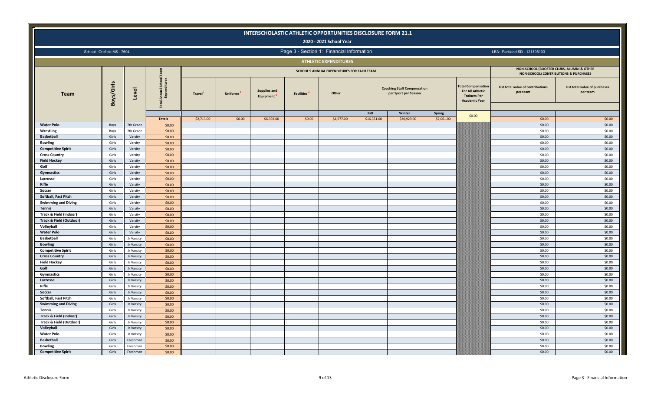|                                    |                            |                      |                                    |            |          | INTERSCHOLASTIC ATHLETIC OPPORTUNITIES DISCLOSURE FORM 21.1 |                                | 2020 - 2021 School Year                    |             |                                                            |               |                                                                                             |                                                                                    |                                           |
|------------------------------------|----------------------------|----------------------|------------------------------------|------------|----------|-------------------------------------------------------------|--------------------------------|--------------------------------------------|-------------|------------------------------------------------------------|---------------|---------------------------------------------------------------------------------------------|------------------------------------------------------------------------------------|-------------------------------------------|
|                                    | School: Orefield MS - 7604 |                      |                                    |            |          |                                                             |                                | Page 3 - Section 1: Financial Information  |             |                                                            |               |                                                                                             | LEA: Parkland SD - 121395103                                                       |                                           |
|                                    |                            |                      |                                    |            |          |                                                             |                                | <b>ATHLETIC EXPENDITURES</b>               |             |                                                            |               |                                                                                             |                                                                                    |                                           |
|                                    |                            |                      |                                    |            |          |                                                             |                                | SCHOOL'S ANNUAL EXPENDITURES FOR EACH TEAM |             |                                                            |               |                                                                                             | NON-SCHOOL (BOOSTER CLUBS, ALUMNI & OTHER<br>NON-SCHOOL) CONTRIBUTIONS & PURCHASES |                                           |
| <b>Team</b>                        | Boys/Girls                 | Level                | Annual School<br>Expenditures<br>區 | Travel     | Uniforms | <b>Supplies and</b><br>Equipment                            | <b>Facilities</b> <sup>4</sup> | Other                                      |             | <b>Coaching Staff Compensation</b><br>per Sport per Season |               | otal Compensation<br><b>For All Athletic</b><br><b>Trainers Per</b><br><b>Academic Year</b> | List total value of contributions<br>per team                                      | List total value of purchases<br>per team |
|                                    |                            |                      |                                    |            |          |                                                             |                                |                                            | Fall        | Winter                                                     | <b>Spring</b> | \$0.00                                                                                      |                                                                                    |                                           |
| <b>Water Polo</b>                  |                            |                      | <b>Totals</b><br>\$0.00            | \$2,713.00 | \$0.00   | \$6,392.00                                                  | \$0.00                         | \$4,577.00                                 | \$16,351.00 | \$20,929.00                                                | \$7,061.00    |                                                                                             | \$0.00<br>\$0.00                                                                   | \$0.00<br>\$0.00                          |
| Wrestling                          | Boys                       | 7th Grade            |                                    |            |          |                                                             |                                |                                            |             |                                                            |               |                                                                                             | \$0.00                                                                             | \$0.00                                    |
| <b>Basketball</b>                  | Boys<br>Girls              | 7th Grade<br>Varsity | \$0.00<br>\$0.00                   |            |          |                                                             |                                |                                            |             |                                                            |               |                                                                                             | \$0.00                                                                             | \$0.00                                    |
| <b>Bowling</b>                     | Girls                      | Varsity              | \$0.00                             |            |          |                                                             |                                |                                            |             |                                                            |               |                                                                                             | \$0.00                                                                             | \$0.00                                    |
| <b>Competitive Spirit</b>          | Girls                      | Varsity              | \$0.00                             |            |          |                                                             |                                |                                            |             |                                                            |               |                                                                                             | \$0.00                                                                             | \$0.00                                    |
| <b>Cross Country</b>               | Girls                      | Varsity              | \$0.00                             |            |          |                                                             |                                |                                            |             |                                                            |               |                                                                                             | \$0.00                                                                             | \$0.00                                    |
| <b>Field Hockey</b>                | Girls                      | Varsity              | \$0.00                             |            |          |                                                             |                                |                                            |             |                                                            |               |                                                                                             | \$0.00                                                                             | \$0.00                                    |
| Golf                               | Girls                      | Varsity              | \$0.00                             |            |          |                                                             |                                |                                            |             |                                                            |               |                                                                                             | \$0.00                                                                             | \$0.00                                    |
| <b>Gymnastics</b>                  | Girls                      | Varsity              | \$0.00                             |            |          |                                                             |                                |                                            |             |                                                            |               |                                                                                             | \$0.00                                                                             | \$0.00                                    |
| Lacrosse                           | Girls                      | Varsity              | \$0.00                             |            |          |                                                             |                                |                                            |             |                                                            |               |                                                                                             | \$0.00                                                                             | \$0.00                                    |
| Rifle                              | Girls                      | Varsity              | \$0.00                             |            |          |                                                             |                                |                                            |             |                                                            |               |                                                                                             | \$0.00                                                                             | \$0.00                                    |
| Soccer                             | Girls                      | Varsity              | \$0.00                             |            |          |                                                             |                                |                                            |             |                                                            |               |                                                                                             | \$0.00                                                                             | \$0.00                                    |
| Softball, Fast Pitch               | Girls                      | Varsity              | \$0.00                             |            |          |                                                             |                                |                                            |             |                                                            |               |                                                                                             | \$0.00                                                                             | \$0.00                                    |
| <b>Swimming and Diving</b>         | Girls                      | Varsity              | \$0.00                             |            |          |                                                             |                                |                                            |             |                                                            |               |                                                                                             | \$0.00                                                                             | \$0.00                                    |
| <b>Tennis</b>                      | Girls                      | Varsity              | \$0.00                             |            |          |                                                             |                                |                                            |             |                                                            |               |                                                                                             | \$0.00                                                                             | \$0.00                                    |
| Track & Field (Indoor)             | Girls                      | Varsity              | \$0.00                             |            |          |                                                             |                                |                                            |             |                                                            |               |                                                                                             | \$0.00                                                                             | \$0.00                                    |
| <b>Track &amp; Field (Outdoor)</b> | Girls                      | Varsity              | \$0.00                             |            |          |                                                             |                                |                                            |             |                                                            |               |                                                                                             | \$0.00                                                                             | \$0.00                                    |
| Volleyball                         | Girls                      | Varsity              | \$0.00                             |            |          |                                                             |                                |                                            |             |                                                            |               |                                                                                             | \$0.00                                                                             | \$0.00                                    |
| <b>Water Polo</b>                  | Girls                      | Varsity              | \$0.00                             |            |          |                                                             |                                |                                            |             |                                                            |               |                                                                                             | \$0.00                                                                             | \$0.00                                    |
| <b>Basketball</b>                  | Girls                      | Jr Varsity           | \$0.00                             |            |          |                                                             |                                |                                            |             |                                                            |               |                                                                                             | \$0.00                                                                             | \$0.00                                    |
| <b>Bowling</b>                     | Girls                      | Jr Varsity           | \$0.00                             |            |          |                                                             |                                |                                            |             |                                                            |               |                                                                                             | \$0.00                                                                             | \$0.00                                    |
| <b>Competitive Spirit</b>          | Girls                      | Jr Varsity           | \$0.00                             |            |          |                                                             |                                |                                            |             |                                                            |               |                                                                                             | \$0.00                                                                             | \$0.00                                    |
| <b>Cross Country</b>               | Girls                      | Jr Varsity           | \$0.00                             |            |          |                                                             |                                |                                            |             |                                                            |               |                                                                                             | \$0.00                                                                             | \$0.00                                    |
| <b>Field Hockey</b>                | Girls                      | Jr Varsity           | \$0.00                             |            |          |                                                             |                                |                                            |             |                                                            |               |                                                                                             | \$0.00                                                                             | \$0.00                                    |
| Golf                               | Girls                      | Jr Varsity           | \$0.00                             |            |          |                                                             |                                |                                            |             |                                                            |               |                                                                                             | \$0.00                                                                             | \$0.00                                    |
| Gymnastics                         | Girls                      | Jr Varsity           | \$0.00                             |            |          |                                                             |                                |                                            |             |                                                            |               |                                                                                             | \$0.00                                                                             | \$0.00                                    |
| Lacrosse                           | Girls                      | Jr Varsity           | \$0.00                             |            |          |                                                             |                                |                                            |             |                                                            |               |                                                                                             | \$0.00                                                                             | \$0.00                                    |
| Rifle                              | Girls                      | Jr Varsity           | \$0.00                             |            |          |                                                             |                                |                                            |             |                                                            |               |                                                                                             | \$0.00                                                                             | \$0.00                                    |
| Soccer                             | Girls                      | Jr Varsity           | \$0.00                             |            |          |                                                             |                                |                                            |             |                                                            |               |                                                                                             | \$0.00                                                                             | \$0.00                                    |
| Softball, Fast Pitch               | Girls                      | Jr Varsity           | \$0.00                             |            |          |                                                             |                                |                                            |             |                                                            |               |                                                                                             | \$0.00                                                                             | \$0.00                                    |
| <b>Swimming and Diving</b>         | Girls                      | Jr Varsity           | \$0.00                             |            |          |                                                             |                                |                                            |             |                                                            |               |                                                                                             | \$0.00                                                                             | \$0.00                                    |
| <b>Tennis</b>                      | Girls                      | Jr Varsity           | \$0.00                             |            |          |                                                             |                                |                                            |             |                                                            |               |                                                                                             | \$0.00                                                                             | \$0.00                                    |
| Track & Field (Indoor)             | Girls                      | Jr Varsity           | \$0.00                             |            |          |                                                             |                                |                                            |             |                                                            |               |                                                                                             | \$0.00                                                                             | \$0.00                                    |
| Track & Field (Outdoor)            | Girls                      | Jr Varsity           | \$0.00                             |            |          |                                                             |                                |                                            |             |                                                            |               |                                                                                             | \$0.00                                                                             | \$0.00                                    |
| Volleyball                         | Girls                      | Jr Varsity           | \$0.00                             |            |          |                                                             |                                |                                            |             |                                                            |               |                                                                                             | \$0.00                                                                             | \$0.00                                    |
| <b>Water Polo</b>                  | Girls                      | Jr Varsity           | \$0.00                             |            |          |                                                             |                                |                                            |             |                                                            |               |                                                                                             | \$0.00                                                                             | \$0.00                                    |
| <b>Basketball</b>                  | Girls                      | Freshman             | \$0.00                             |            |          |                                                             |                                |                                            |             |                                                            |               |                                                                                             | \$0.00                                                                             | \$0.00                                    |
| <b>Bowling</b>                     | Girls                      | Freshman             | \$0.00                             |            |          |                                                             |                                |                                            |             |                                                            |               |                                                                                             | \$0.00                                                                             | \$0.00                                    |
| <b>Competitive Spirit</b>          | Girls                      | Freshman             | \$0.00                             |            |          |                                                             |                                |                                            |             |                                                            |               |                                                                                             | \$0.00                                                                             | \$0.00                                    |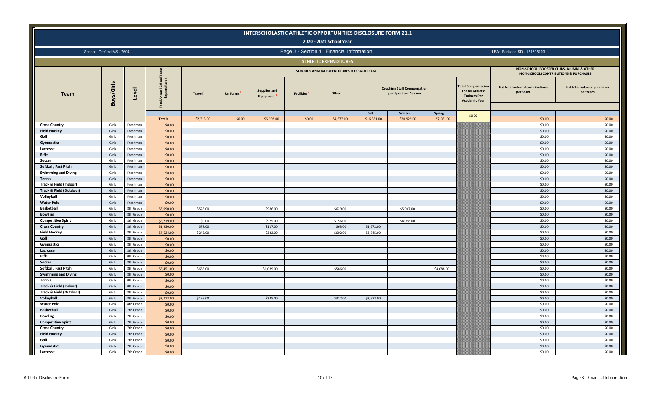|                                     |                            |                        |                                    |               |                       |                                               |                   | INTERSCHOLASTIC ATHLETIC OPPORTUNITIES DISCLOSURE FORM 21.1<br>2020 - 2021 School Year |             |                                                            |            |                                                                                             |                                                                                               |                                           |
|-------------------------------------|----------------------------|------------------------|------------------------------------|---------------|-----------------------|-----------------------------------------------|-------------------|----------------------------------------------------------------------------------------|-------------|------------------------------------------------------------|------------|---------------------------------------------------------------------------------------------|-----------------------------------------------------------------------------------------------|-------------------------------------------|
|                                     | School: Orefield MS - 7604 |                        |                                    |               |                       |                                               |                   | Page 3 - Section 1: Financial Information                                              |             |                                                            |            |                                                                                             | LEA: Parkland SD - 121395103                                                                  |                                           |
|                                     |                            |                        |                                    |               |                       |                                               |                   | <b>ATHLETIC EXPENDITURES</b>                                                           |             |                                                            |            |                                                                                             |                                                                                               |                                           |
|                                     |                            |                        |                                    |               |                       |                                               |                   | SCHOOL'S ANNUAL EXPENDITURES FOR EACH TEAM                                             |             |                                                            |            |                                                                                             | NON-SCHOOL (BOOSTER CLUBS, ALUMNI & OTHER<br><b>NON-SCHOOL) CONTRIBUTIONS &amp; PURCHASES</b> |                                           |
| <b>Team</b>                         | Boys/Girls                 | Level                  | Annual School<br>Expenditures<br>恵 | <b>Travel</b> | Uniforms <sup>2</sup> | <b>Supplies and</b><br>Equipment <sup>'</sup> | <b>Facilities</b> | Other                                                                                  |             | <b>Coaching Staff Compensation</b><br>per Sport per Season |            | otal Compensation<br><b>For All Athletic</b><br><b>Trainers Per</b><br><b>Academic Year</b> | List total value of contributions<br>per team                                                 | List total value of purchases<br>per team |
|                                     |                            |                        |                                    |               |                       |                                               |                   |                                                                                        | Fall        | Winter                                                     | Spring     | \$0.00                                                                                      |                                                                                               |                                           |
|                                     |                            |                        | <b>Totals</b>                      | \$2,713.00    | \$0.00                | \$6,392.00                                    | \$0.00            | \$4,577.00                                                                             | \$16,351.00 | \$20,929.00                                                | \$7,061.00 |                                                                                             | \$0.00                                                                                        | \$0.00                                    |
| <b>Cross Country</b>                | Girls                      | Freshman               | \$0.00                             |               |                       |                                               |                   |                                                                                        |             |                                                            |            |                                                                                             | \$0.00                                                                                        | \$0.00                                    |
| <b>Field Hockey</b>                 | Girls                      | Freshman               | \$0.00                             |               |                       |                                               |                   |                                                                                        |             |                                                            |            |                                                                                             | \$0.00                                                                                        | \$0.00                                    |
| Golf                                | Girls                      | Freshman               | \$0.00                             |               |                       |                                               |                   |                                                                                        |             |                                                            |            |                                                                                             | \$0.00                                                                                        | \$0.00                                    |
| Gymnastics                          | Girls                      | Freshman               | \$0.00                             |               |                       |                                               |                   |                                                                                        |             |                                                            |            |                                                                                             | \$0.00                                                                                        | \$0.00                                    |
| Lacrosse                            | Girls                      | Freshman               | \$0.00                             |               |                       |                                               |                   |                                                                                        |             |                                                            |            |                                                                                             | \$0.00                                                                                        | \$0.00                                    |
| Rifle                               | Girls                      | Freshman               | \$0.00                             |               |                       |                                               |                   |                                                                                        |             |                                                            |            |                                                                                             | \$0.00                                                                                        | \$0.00                                    |
| Soccer                              | Girls                      | Freshmar               | \$0.00                             |               |                       |                                               |                   |                                                                                        |             |                                                            |            |                                                                                             | \$0.00                                                                                        | \$0.00                                    |
| Softball, Fast Pitch                | Girls                      | Freshman               | \$0.00                             |               |                       |                                               |                   |                                                                                        |             |                                                            |            |                                                                                             | \$0.00                                                                                        | \$0.00                                    |
| <b>Swimming and Diving</b>          | Girls                      | Freshman               | \$0.00                             |               |                       |                                               |                   |                                                                                        |             |                                                            |            |                                                                                             | \$0.00                                                                                        | \$0.00                                    |
| <b>Tennis</b>                       | Girls                      | Freshman               | \$0.00                             |               |                       |                                               |                   |                                                                                        |             |                                                            |            |                                                                                             | \$0.00                                                                                        | \$0.00                                    |
| Track & Field (Indoor)              | Girls                      | Freshman               | \$0.00                             |               |                       |                                               |                   |                                                                                        |             |                                                            |            |                                                                                             | \$0.00                                                                                        | \$0.00                                    |
| <b>Track &amp; Field (Outdoor)</b>  | Girls                      | Freshman               | \$0.00                             |               |                       |                                               |                   |                                                                                        |             |                                                            |            |                                                                                             | \$0.00                                                                                        | \$0.00                                    |
| Volleyball                          | Girls                      | Freshmar               | \$0.00                             |               |                       |                                               |                   |                                                                                        |             |                                                            |            |                                                                                             | \$0.00                                                                                        | \$0.00                                    |
| <b>Water Polo</b>                   | Girls                      | Freshman               | \$0.00                             |               |                       |                                               |                   |                                                                                        |             |                                                            |            |                                                                                             | \$0.00                                                                                        | \$0.00                                    |
| <b>Basketball</b><br><b>Bowling</b> | Girls<br>Girls             | 8th Grade<br>8th Grade | \$8,090.00                         | \$528.00      |                       | \$986.00                                      |                   | \$629.00                                                                               |             | \$5,947.00                                                 |            |                                                                                             | \$0.00<br>\$0.00                                                                              | \$0.00<br>\$0.00                          |
|                                     |                            |                        | \$0.00                             |               |                       |                                               |                   |                                                                                        |             |                                                            |            |                                                                                             | \$0.00                                                                                        | \$0.00                                    |
| <b>Competitive Spirit</b>           | Girls                      | 8th Grade              | \$5,219.00                         | \$0.00        |                       | \$975.00                                      |                   | \$156.00                                                                               |             | \$4,088.00                                                 |            |                                                                                             |                                                                                               |                                           |
| <b>Cross Country</b>                | Girls                      | 8th Grade              | \$1,930.00                         | \$78.00       |                       | \$117.00                                      |                   | \$63.00                                                                                | \$1,672.00  |                                                            |            |                                                                                             | \$0.00                                                                                        | \$0.00                                    |
| <b>Field Hockey</b><br>Golf         | Girls                      | 8th Grade              | \$4,524.00                         | \$245.00      |                       | \$332.00                                      |                   | \$602.00                                                                               | \$3,345.00  |                                                            |            |                                                                                             | \$0.00<br>\$0.00                                                                              | \$0.00<br>\$0.00                          |
| Gymnastics                          | Girls<br>Girls             | 8th Grade<br>8th Grade | \$0.00<br>\$0.00                   |               |                       |                                               |                   |                                                                                        |             |                                                            |            |                                                                                             | \$0.00                                                                                        | \$0.00                                    |
| Lacrosse                            | Girls                      | 8th Grade              |                                    |               |                       |                                               |                   |                                                                                        |             |                                                            |            |                                                                                             | \$0.00                                                                                        | \$0.00                                    |
| Rifle                               | Girls                      | 8th Grade              | \$0.00<br>\$0.00                   |               |                       |                                               |                   |                                                                                        |             |                                                            |            |                                                                                             | \$0.00                                                                                        | \$0.00                                    |
| Soccer                              | Girls                      | 8th Grade              | \$0.00                             |               |                       |                                               |                   |                                                                                        |             |                                                            |            |                                                                                             | \$0.00                                                                                        | \$0.00                                    |
| Softball, Fast Pitch                |                            |                        |                                    |               |                       |                                               |                   |                                                                                        |             |                                                            |            |                                                                                             | \$0.00                                                                                        | \$0.00                                    |
| <b>Swimming and Diving</b>          | Girls<br>Girls             | 8th Grade<br>8th Grade | \$6,451.00<br>\$0.00               | \$688.00      |                       | \$1,089.00                                    |                   | \$586.00                                                                               |             |                                                            | \$4,088.00 |                                                                                             | \$0.00                                                                                        | \$0.00                                    |
| Tennis                              | Girls                      | 8th Grade              | \$0.00                             |               |                       |                                               |                   |                                                                                        |             |                                                            |            |                                                                                             | \$0.00                                                                                        | \$0.00                                    |
| Track & Field (Indoor)              | Girls                      | 8th Grade              | \$0.00                             |               |                       |                                               |                   |                                                                                        |             |                                                            |            |                                                                                             | \$0.00                                                                                        | \$0.00                                    |
| Track & Field (Outdoor)             | Girls                      | 8th Grade              | \$0.00                             |               |                       |                                               |                   |                                                                                        |             |                                                            |            |                                                                                             | \$0.00                                                                                        | \$0.00                                    |
| Volleyball                          | Girls                      | 8th Grade              | \$3,713.00                         | \$193.00      |                       | \$225.00                                      |                   | \$322.00                                                                               | \$2,973.00  |                                                            |            |                                                                                             | \$0.00                                                                                        | \$0.00                                    |
| <b>Water Polo</b>                   | Girls                      | 8th Grade              | \$0.00                             |               |                       |                                               |                   |                                                                                        |             |                                                            |            |                                                                                             | \$0.00                                                                                        | \$0.00                                    |
| <b>Basketball</b>                   | Girls                      | 7th Grade              | \$0.00                             |               |                       |                                               |                   |                                                                                        |             |                                                            |            |                                                                                             | \$0.00                                                                                        | \$0.00                                    |
| <b>Bowling</b>                      | Girls                      | 7th Grade              | \$0.00                             |               |                       |                                               |                   |                                                                                        |             |                                                            |            |                                                                                             | \$0.00                                                                                        | \$0.00                                    |
| <b>Competitive Spirit</b>           | Girls                      | 7th Grade              | \$0.00                             |               |                       |                                               |                   |                                                                                        |             |                                                            |            |                                                                                             | \$0.00                                                                                        | \$0.00                                    |
| <b>Cross Country</b>                | Girls                      | 7th Grade              | \$0.00                             |               |                       |                                               |                   |                                                                                        |             |                                                            |            |                                                                                             | \$0.00                                                                                        | \$0.00                                    |
| <b>Field Hockey</b>                 | Girls                      | 7th Grade              | \$0.00                             |               |                       |                                               |                   |                                                                                        |             |                                                            |            |                                                                                             | \$0.00                                                                                        | \$0.00                                    |
| Golf                                | Girls                      | 7th Grade              | \$0.00                             |               |                       |                                               |                   |                                                                                        |             |                                                            |            |                                                                                             | \$0.00                                                                                        | \$0.00                                    |
| Gymnastics                          | Girls                      | 7th Grade              | \$0.00                             |               |                       |                                               |                   |                                                                                        |             |                                                            |            |                                                                                             | \$0.00                                                                                        | \$0.00                                    |
| Lacrosse                            | Girls                      | 7th Grade              | \$0.00                             |               |                       |                                               |                   |                                                                                        |             |                                                            |            |                                                                                             | \$0.00                                                                                        | \$0.00                                    |
|                                     |                            |                        |                                    |               |                       |                                               |                   |                                                                                        |             |                                                            |            |                                                                                             |                                                                                               |                                           |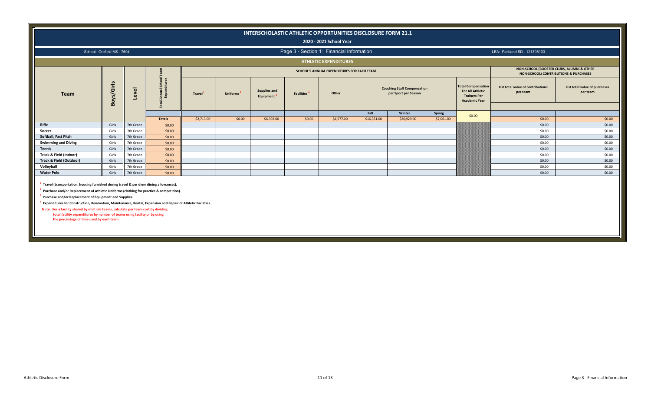|                                    |                            |                           |               |               |                       |                                  |                                           | 2020 - 2021 School Year                    | INTERSCHOLASTIC ATHLETIC OPPORTUNITIES DISCLOSURE FORM 21.1 |                                                            |            |                                                                                                     |                                                                                    |                                           |
|------------------------------------|----------------------------|---------------------------|---------------|---------------|-----------------------|----------------------------------|-------------------------------------------|--------------------------------------------|-------------------------------------------------------------|------------------------------------------------------------|------------|-----------------------------------------------------------------------------------------------------|------------------------------------------------------------------------------------|-------------------------------------------|
|                                    | School: Orefield MS - 7604 |                           |               |               |                       |                                  | Page 3 - Section 1: Financial Information |                                            |                                                             |                                                            |            |                                                                                                     | LEA: Parkland SD - 121395103                                                       |                                           |
|                                    |                            |                           |               |               |                       |                                  |                                           | <b>ATHLETIC EXPENDITURES</b>               |                                                             |                                                            |            |                                                                                                     |                                                                                    |                                           |
|                                    |                            |                           |               |               |                       |                                  |                                           | SCHOOL'S ANNUAL EXPENDITURES FOR EACH TEAM |                                                             |                                                            |            |                                                                                                     | NON-SCHOOL (BOOSTER CLUBS, ALUMNI & OTHER<br>NON-SCHOOL) CONTRIBUTIONS & PURCHASES |                                           |
| <b>Team</b>                        | oys/Girls<br>Ă             | $\overline{\omega}$<br>۹ā |               | <b>Travel</b> | Uniforms <sup>2</sup> | <b>Supplies and</b><br>Equipment | <b>Facilities<sup>4</sup></b>             | Other                                      |                                                             | <b>Coaching Staff Compensation</b><br>per Sport per Season |            | <b>Total Compensation</b><br><b>For All Athletic</b><br><b>Trainers Per</b><br><b>Academic Year</b> | List total value of contributions<br>per team                                      | List total value of purchases<br>per team |
|                                    |                            |                           |               |               |                       |                                  |                                           |                                            | Fall                                                        | Winter                                                     | Spring     | \$0.00                                                                                              |                                                                                    |                                           |
|                                    |                            |                           | <b>Totals</b> | \$2,713.00    | \$0.00                | \$6,392.00                       | \$0.00                                    | \$4,577.00                                 | \$16,351.00                                                 | \$20,929.00                                                | \$7,061.00 |                                                                                                     | \$0.00                                                                             | \$0.00                                    |
| Rifle                              | Girls                      | 7th Grade                 | \$0.00        |               |                       |                                  |                                           |                                            |                                                             |                                                            |            |                                                                                                     | \$0.00                                                                             | \$0.00                                    |
| Soccer                             | Girls                      | 7th Grade                 | \$0.00        |               |                       |                                  |                                           |                                            |                                                             |                                                            |            |                                                                                                     | \$0.00                                                                             | \$0.00                                    |
| Softball, Fast Pitch               | Girls                      | 7th Grade                 | \$0.00        |               |                       |                                  |                                           |                                            |                                                             |                                                            |            |                                                                                                     | \$0.00                                                                             | \$0.00                                    |
| <b>Swimming and Diving</b>         | Girls                      | 7th Grade                 | \$0.00        |               |                       |                                  |                                           |                                            |                                                             |                                                            |            |                                                                                                     | \$0.00                                                                             | \$0.00                                    |
| <b>Tennis</b>                      | Girls                      | 7th Grade                 | \$0.00        |               |                       |                                  |                                           |                                            |                                                             |                                                            |            |                                                                                                     | \$0.00                                                                             | \$0.00                                    |
| Track & Field (Indoor)             | Girls                      | 7th Grade                 | \$0.00        |               |                       |                                  |                                           |                                            |                                                             |                                                            |            |                                                                                                     | \$0.00                                                                             | \$0.00                                    |
| <b>Track &amp; Field (Outdoor)</b> | Girls                      | 7th Grade                 | \$0.00        |               |                       |                                  |                                           |                                            |                                                             |                                                            |            |                                                                                                     | \$0.00                                                                             | \$0.00                                    |
| Volleyball                         | Girls                      | 7th Grade                 | \$0.00        |               |                       |                                  |                                           |                                            |                                                             |                                                            |            |                                                                                                     | \$0.00                                                                             | \$0.00                                    |
| <b>Water Polo</b>                  | Girls                      | 7th Grade                 | \$0.00        |               |                       |                                  |                                           |                                            |                                                             |                                                            |            |                                                                                                     | \$0.00                                                                             | \$0.00                                    |
|                                    |                            |                           |               |               |                       |                                  |                                           |                                            |                                                             |                                                            |            |                                                                                                     |                                                                                    |                                           |

**1 Travel (transportation, housing furnished during travel & per diem dining allowances).**

**2 Purchase and/or Replacement of Athletic Uniforms (clothing for practice & competition).**

**3 Purchase and/or Replacement of Equipment and Supplies.**

**4 Expenditures for Construction, Renovation, Maintenance, Rental, Expansion and Repair of Athletic Facilities.**

 **Note: For a facility shared by multiple teams, calculate per team cost by dividing total facility expenditures by number of teams using facility or by using the percentage of time used by each team.**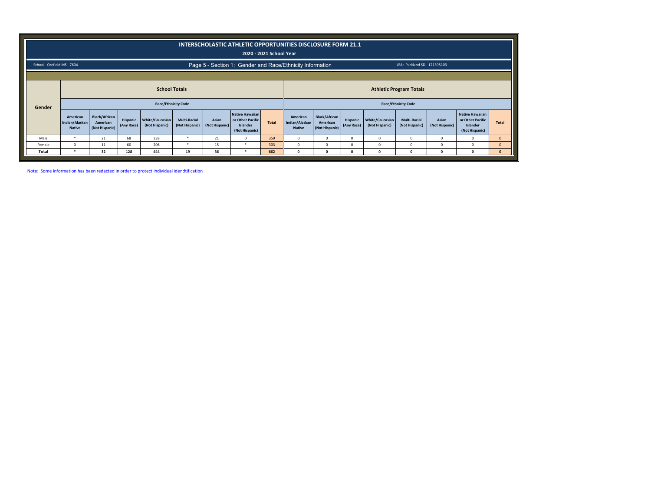|                            |                                                                                                                    |                                                    |                        |                                          |                                       |                         | <b>INTERSCHOLASTIC ATHLETIC OPPORTUNITIES DISCLOSURE FORM 21.1</b>       | 2020 - 2021 School Year |                                             |                                                    |                        |                                   |                                       |                         |                                                                   |              |
|----------------------------|--------------------------------------------------------------------------------------------------------------------|----------------------------------------------------|------------------------|------------------------------------------|---------------------------------------|-------------------------|--------------------------------------------------------------------------|-------------------------|---------------------------------------------|----------------------------------------------------|------------------------|-----------------------------------|---------------------------------------|-------------------------|-------------------------------------------------------------------|--------------|
| School: Orefield MS - 7604 |                                                                                                                    |                                                    |                        |                                          |                                       |                         | Page 5 - Section 1: Gender and Race/Ethnicity Information                |                         |                                             |                                                    |                        |                                   | LEA: Parkland SD - 121395103          |                         |                                                                   |              |
| Gender                     | <b>School Totals</b><br><b>Athletic Program Totals</b><br><b>Race/Ethnicity Code</b><br><b>Race/Ethnicity Code</b> |                                                    |                        |                                          |                                       |                         |                                                                          |                         |                                             |                                                    |                        |                                   |                                       |                         |                                                                   |              |
|                            | American<br>Indian/Alaskan<br><b>Native</b>                                                                        | <b>Black/African</b><br>American<br>(Not Hispanic) | Hispanic<br>(Any Race) | <b>White/Caucasian</b><br>(Not Hispanic) | <b>Multi-Racial</b><br>(Not Hispanic) | Asian<br>(Not Hispanic) | <b>Native Hawaiian</b><br>or Other Pacific<br>Islander<br>(Not Hispanic) | <b>Total</b>            | American<br>Indian/Alaskan<br><b>Native</b> | <b>Black/African</b><br>American<br>(Not Hispanic) | Hispanic<br>(Any Race) | White/Caucasian<br>(Not Hispanic) | <b>Multi-Racial</b><br>(Not Hispanic) | Asian<br>(Not Hispanic) | Native Hawaiian<br>or Other Pacific<br>Islander<br>(Not Hispanic) | <b>Total</b> |
| Male                       | $\star$                                                                                                            | 21                                                 | 68                     | 238                                      |                                       | 21                      | $^{\circ}$                                                               | 359                     | $^{\circ}$                                  | 0                                                  | $^{\circ}$             | O                                 | $\Omega$                              | $\Omega$                |                                                                   | $\mathbf{0}$ |
| Female                     | $\Omega$                                                                                                           | 11                                                 | 60                     | 206                                      | $\star$                               | 15                      | $\star$                                                                  | 303                     | $^{\circ}$                                  | <sup>0</sup>                                       | $^{\circ}$             | $\Omega$                          |                                       | $\Omega$                |                                                                   | $\mathbf{0}$ |
| Total                      | $\star$                                                                                                            | 32                                                 | 128                    | 444                                      | 19                                    | 36                      |                                                                          | 662                     | $\Omega$                                    | O                                                  | $\Omega$               |                                   |                                       | n                       |                                                                   | $\mathbf{0}$ |

Note: Some information has been redacted in order to protect individual idendtification